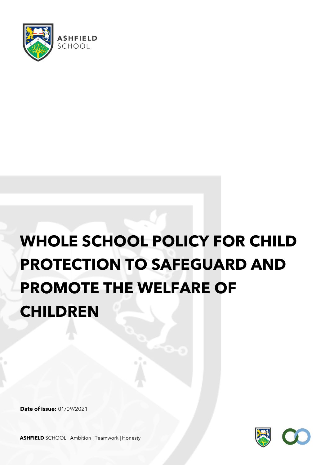

# **WHOLE SCHOOL POLICY FOR CHILD PROTECTION TO SAFEGUARD AND PROMOTE THE WELFARE OF CHILDREN**

**Date of issue:** 01/09/2021

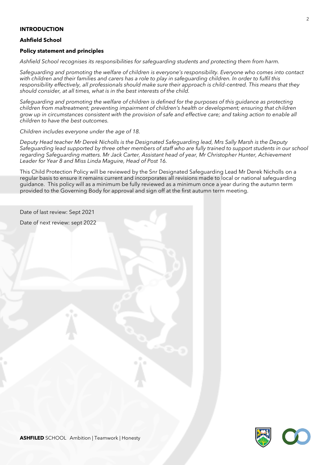#### **INTRODUCTION**

#### **Ashfield School**

#### **Policy statement and principles**

*Ashfield School recognises its responsibilities for safeguarding students and protecting them from harm.*

*Safeguarding and promoting the welfare of children is everyone's responsibility. Everyone who comes into contact*  with children and their families and carers has a role to play in safeguarding children. In order to fulfil this *responsibility effectively, all professionals should make sure their approach is child-centred. This means that they should consider, at all times, what is in the best interests of the child.*

*Safeguarding and promoting the welfare of children is defined for the purposes of this guidance as protecting children from maltreatment; preventing impairment of children's health or development; ensuring that children grow up in circumstances consistent with the provision of safe and effective care; and taking action to enable all children to have the best outcomes.*

*Children includes everyone under the age of 18.*

*Deputy Head teacher Mr Derek Nicholls is the Designated Safeguarding lead, Mrs Sally Marsh is the Deputy Safeguarding lead supported by three other members of staff who are fully trained to support students in our school regarding Safeguarding matters. Mr Jack Carter, Assistant head of year, Mr Christopher Hunter, Achievement Leader for Year 8 and Miss Linda Maguire, Head of Post 16.*

This Child Protection Policy will be reviewed by the Snr Designated Safeguarding Lead Mr Derek Nicholls on a regular basis to ensure it remains current and incorporates all revisions made to local or national safeguarding guidance. This policy will as a minimum be fully reviewed as a minimum once a year during the autumn term provided to the Governing Body for approval and sign off at the first autumn term meeting.

| Date of last review: Sept 2021       |  |
|--------------------------------------|--|
| Date of next review: sept 2022<br>÷. |  |
| ۰<br>Ċ,<br>C.                        |  |
|                                      |  |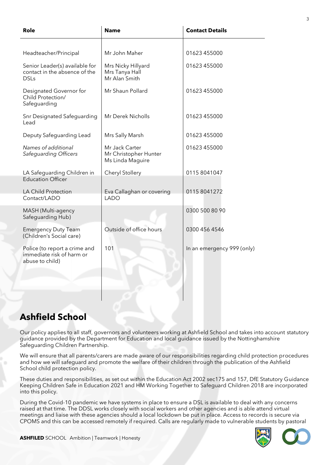| Role                                                                           | <b>Name</b>                                                 | <b>Contact Details</b>     |  |  |  |  |
|--------------------------------------------------------------------------------|-------------------------------------------------------------|----------------------------|--|--|--|--|
|                                                                                |                                                             |                            |  |  |  |  |
| Headteacher/Principal                                                          | Mr John Maher                                               | 01623 455000               |  |  |  |  |
| Senior Leader(s) available for<br>contact in the absence of the<br><b>DSLs</b> | Mrs Nicky Hillyard<br>Mrs Tanya Hall<br>Mr Alan Smith       | 01623 455000               |  |  |  |  |
| Designated Governor for<br>Child Protection/<br>Safeguarding                   | Mr Shaun Pollard                                            | 01623 455000               |  |  |  |  |
| Snr Designated Safeguarding<br>Lead                                            | Mr Derek Nicholls                                           | 01623 455000               |  |  |  |  |
| Deputy Safeguarding Lead                                                       | Mrs Sally Marsh                                             | 01623 455000               |  |  |  |  |
| Names of additional<br>Safeguarding Officers                                   | Mr Jack Carter<br>Mr Christopher Hunter<br>Ms Linda Maguire | 01623 455000               |  |  |  |  |
| LA Safeguarding Children in<br>Education Officer                               | Cheryl Stollery                                             | 0115 8041047               |  |  |  |  |
| LA Child Protection<br>Contact/LADO                                            | Eva Callaghan or covering<br><b>LADO</b>                    | 0115 8041272               |  |  |  |  |
| MASH (Multi-agency<br>Safeguarding Hub)                                        |                                                             | 0300 500 80 90             |  |  |  |  |
| <b>Emergency Duty Team</b><br>(Children's Social care)                         | Outside of office hours                                     | 0300 456 4546              |  |  |  |  |
| Police (to report a crime and<br>immediate risk of harm or<br>abuse to child)  | 101                                                         | In an emergency 999 (only) |  |  |  |  |

# **Ashfield School**

Our policy applies to all staff, governors and volunteers working at Ashfield School and takes into account statutory guidance provided by the Department for Education and local guidance issued by the Nottinghamshire Safeguarding Children Partnership.

We will ensure that all parents/carers are made aware of our responsibilities regarding child protection procedures and how we will safeguard and promote the welfare of their children through the publication of the Ashfield School child protection policy.

These duties and responsibilities, as set out within the Education Act 2002 sec175 and 157, DfE Statutory Guidance Keeping Children Safe in Education 2021 and HM Working Together to Safeguard Children 2018 are incorporated into this policy.

During the Covid-10 pandemic we have systems in place to ensure a DSL is available to deal with any concerns raised at that time. The DDSL works closely with social workers and other agencies and is able attend virtual meetings and liaise with these agencies should a local lockdown be put in place. Access to records is secure via CPOMS and this can be accessed remotely if required. Calls are regularly made to vulnerable students by pastoral

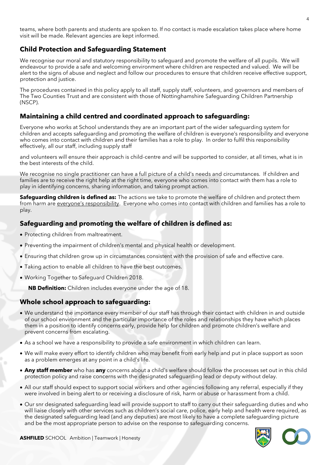teams, where both parents and students are spoken to. If no contact is made escalation takes place where home visit will be made. Relevant agencies are kept informed.

## **Child Protection and Safeguarding Statement**

We recognise our moral and statutory responsibility to safeguard and promote the welfare of all pupils. We will endeavour to provide a safe and welcoming environment where children are respected and valued. We will be alert to the signs of abuse and neglect and follow our procedures to ensure that children receive effective support, protection and justice.

The procedures contained in this policy apply to all staff, supply staff, volunteers, and governors and members of The Two Counties Trust and are consistent with those of Nottinghamshire Safeguarding Children Partnership (NSCP).

# **Maintaining a child centred and coordinated approach to safeguarding:**

Everyone who works at School understands they are an important part of the wider safeguarding system for children and accepts safeguarding and promoting the welfare of children is everyone's responsibility and everyone who comes into contact with children and their families has a role to play. In order to fulfil this responsibility effectively, all our staff, including supply staff

and volunteers will ensure their approach is child-centre and will be supported to consider, at all times, what is in the best interests of the child.

We recognise no single practitioner can have a full picture of a child's needs and circumstances. If children and families are to receive the right help at the right time, everyone who comes into contact with them has a role to play in identifying concerns, sharing information, and taking prompt action.

**Safeguarding children is defined as:** The actions we take to promote the welfare of children and protect them from harm are everyone's responsibility. Everyone who comes into contact with children and families has a role to play.

## **Safeguarding and promoting the welfare of children is defined as:**

- Protecting children from maltreatment.
- Preventing the impairment of children's mental and physical health or development.
- Ensuring that children grow up in circumstances consistent with the provision of safe and effective care.
- Taking action to enable all children to have the best outcomes.
- Working Together to Safeguard Children 2018.

**NB Definition:** Children includes everyone under the age of 18.

#### **Whole school approach to safeguarding:**

- We understand the importance every member of our staff has through their contact with children in and outside of our school environment and the particular importance of the roles and relationships they have which places them in a position to identify concerns early, provide help for children and promote children's welfare and prevent concerns from escalating.
- As a school we have a responsibility to provide a safe environment in which children can learn.
- We will make every effort to identify children who may benefit from early help and put in place support as soon as a problem emerges at any point in a child's life.
- **Any staff member** who has **any** concerns about a child's welfare should follow the processes set out in this child protection policy and raise concerns with the designated safeguarding lead or deputy without delay.
- All our staff should expect to support social workers and other agencies following any referral, especially if they were involved in being alert to or receiving a disclosure of risk, harm or abuse or harassment from a child.
- Our snr designated safeguarding lead will provide support to staff to carry out their safeguarding duties and who will liaise closely with other services such as children's social care, police, early help and health were required, as the designated safeguarding lead (and any deputies) are most likely to have a complete safeguarding picture and be the most appropriate person to advise on the response to safeguarding concerns.

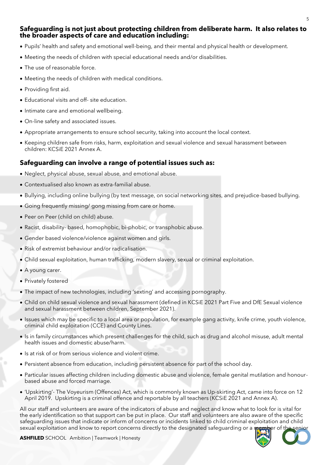#### **Safeguarding is not just about protecting children from deliberate harm. It also relates to the broader aspects of care and education including:**

- Pupils' health and safety and emotional well-being, and their mental and physical health or development.
- Meeting the needs of children with special educational needs and/or disabilities.
- The use of reasonable force.
- Meeting the needs of children with medical conditions.
- Providing first aid.
- Educational visits and off- site education.
- Intimate care and emotional wellbeing.
- On-line safety and associated issues.
- Appropriate arrangements to ensure school security, taking into account the local context.
- Keeping children safe from risks, harm, exploitation and sexual violence and sexual harassment between children: KCSiE 2021 Annex A.

#### **Safeguarding can involve a range of potential issues such as:**

- Neglect, physical abuse, sexual abuse, and emotional abuse.
- Contextualised also known as extra-familial abuse.
- Bullying, including online bullying (by text message, on social networking sites, and prejudice-based bullying.
- Going frequently missing/ gong missing from care or home.
- Peer on Peer (child on child) abuse.
- Racist, disability- based, homophobic, bi-phobic, or transphobic abuse.
- Gender based violence/violence against women and girls.
- Risk of extremist behaviour and/or radicalisation.
- Child sexual exploitation, human trafficking, modern slavery, sexual or criminal exploitation.
- A young carer.
- Privately fostered
- The impact of new technologies, including 'sexting' and accessing pornography.
- Child on child sexual violence and sexual harassment (defined in KCSiE 2021 Part Five and DfE Sexual violence and sexual harassment between children, September 2021).
- Issues which may be specific to a local area or population, for example gang activity, knife crime, youth violence, criminal child exploitation (CCE) and County Lines.
- Is in family circumstances which present challenges for the child, such as drug and alcohol misuse, adult mental health issues and domestic abuse/harm.
- Is at risk of or from serious violence and violent crime.
- Persistent absence from education, including persistent absence for part of the school day.
- Particular issues affecting children including domestic abuse and violence, female genital mutilation and honourbased abuse and forced marriage.
- 'Upskirting'- The Voyeurism (Offences) Act, which is commonly known as Up-skirting Act, came into force on 12 April 2019. Upskirting is a criminal offence and reportable by all teachers (KCSiE 2021 and Annex A).

All our staff and volunteers are aware of the indicators of abuse and neglect and know what to look for is vital for the early identification so that support can be put in place. Our staff and volunteers are also aware of the specific safeguarding issues that indicate or inform of concerns or incidents linked to child criminal exploitation and child sexual exploitation and know to report concerns directly to the designated safeguarding or a i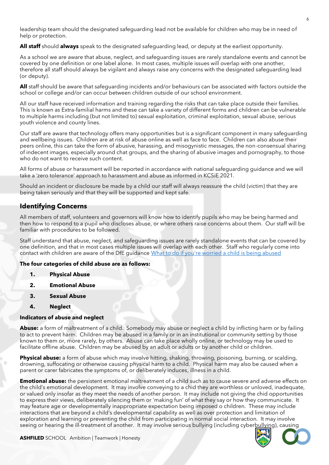leadership team should the designated safeguarding lead not be available for children who may be in need of help or protection.

**All staff** should **always** speak to the designated safeguarding lead, or deputy at the earliest opportunity.

As a school we are aware that abuse, neglect, and safeguarding issues are rarely standalone events and cannot be covered by one definition or one label alone. In most cases, multiple issues will overlap with one another, therefore all staff should always be vigilant and always raise any concerns with the designated safeguarding lead (or deputy).

**All** staff should be aware that safeguarding incidents and/or behaviours can be associated with factors outside the school or college and/or can occur between children outside of our school environment.

All our staff have received information and training regarding the risks that can take place outside their families. This is known as Extra-familial harms and these can take a variety of different forms and children can be vulnerable to multiple harms including (but not limited to) sexual exploitation, criminal exploitation, sexual abuse, serious youth violence and county lines.

Our staff are aware that technology offers many opportunities but is a significant component in many safeguarding and wellbeing issues. Children are at risk of abuse online as well as face to face. Children can also abuse their peers online, this can take the form of abusive, harassing, and misogynistic messages, the non-consensual sharing of indecent images, especially around chat groups, and the sharing of abusive images and pornography, to those who do not want to receive such content.

All forms of abuse or harassment will be reported in accordance with national safeguarding guidance and we will take a 'zero tolerance' approach to harassment and abuse as informed in KCSiE 2021.

Should an incident or disclosure be made by a child our staff will always reassure the child (victim) that they are being taken seriously and that they will be supported and kept safe.

#### **Identifying Concerns**

All members of staff, volunteers and governors will know how to identify pupils who may be being harmed and then how to respond to a pupil who discloses abuse, or where others raise concerns about them. Our staff will be familiar with procedures to be followed.

Staff understand that abuse, neglect, and safeguarding issues are rarely standalone events that can be covered by one definition, and that in most cases multiple issues will overlap with each other. Staff who regularly come into contact with children are aware of the DfE guidance [What to do if you're worried a child is being abused](https://www.gov.uk/government/uploads/system/uploads/attachment_data/file/419604/What_to_do_if_you_re_worried_a_child_is_being_abused.pdf)

#### **The four categories of child abuse are as follows:**

- **1. Physical Abuse**
- **2. Emotional Abuse**
- **3. Sexual Abuse**
- **4. Neglect**

#### **Indicators of abuse and neglect**

**Abuse:** a form of maltreatment of a child. Somebody may abuse or neglect a child by inflicting harm or by failing to act to prevent harm. Children may be abused in a family or in an institutional or community setting by those known to them or, more rarely, by others. Abuse can take place wholly online, or technology may be used to facilitate offline abuse. Children may be abused by an adult or adults or by another child or children.

**Physical abuse:** a form of abuse which may involve hitting, shaking, throwing, poisoning, burning, or scalding, drowning, suffocating or otherwise causing physical harm to a child. Physical harm may also be caused when a parent or carer fabricates the symptoms of, or deliberately induces, illness in a child.

**Emotional abuse:** the persistent emotional maltreatment of a child such as to cause severe and adverse effects on the child's emotional development. It may involve conveying to a chid they are worthless or unloved, inadequate, or valued only insofar as they meet the needs of another person. It may include not giving the chid opportunities to express their views, deliberately silencing them or 'making fun' of what they say or how they communicate. It may feature age or developmentally inappropriate expectation being imposed o children. These may include interactions that are beyond a child's developmental capability as well as over protection and limitation of exploration and learning or preventing the child from participating in normal social interaction. It may involve seeing or hearing the ill-treatment of another. It may involve serious bullying (including cyberbullying), causing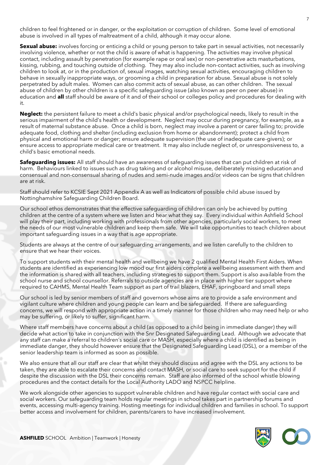children to feel frightened or in danger, or the exploitation or corruption of children. Some level of emotional abuse is involved in all types of maltreatment of a child, although it may occur alone.

**Sexual abuse:** involves forcing or enticing a child or young person to take part in sexual activities, not necessarily involving violence, whether or not the child is aware of what is happening. The activities may involve physical contact, including assault by penetration (for example rape or oral sex) or non-penetrative acts masturbations, kissing, rubbing, and touching outside of clothing. They may also include non-contact activities, such as involving children to look at, or in the production of, sexual images, watching sexual activities, encouraging children to behave in sexually inappropriate ways, or grooming a child in preparation for abuse. Sexual abuse is not solely perpetrated by adult males. Women can also commit acts of sexual abuse, as can other children. The sexual abuse of children by other children is a specific safeguarding issue (also known as peer on peer abuse) in education and **all** staff should be aware of it and of their school or colleges policy and procedures for dealing with it.

**Neglect:** the persistent failure to meet a child's basic physical and/or psychological needs, likely to result in the serious impairment of the child's health or development. Neglect may occur during pregnancy, for example, as a result of maternal substance abuse. Once a child is born, neglect may involve a parent or carer failing to; provide adequate food, clothing and shelter (including exclusion from home or abandonment); protect a child from physical and emotional harm or danger; ensure adequate supervision (the use of inadequate care-givers); or ensure access to appropriate medical care or treatment. It may also include neglect of, or unresponsiveness to, a child's basic emotional needs.

**Safeguarding issues:** All staff should have an awareness of safeguarding issues that can put children at risk of harm. Behaviours linked to issues such as drug taking and or alcohol misuse, deliberately missing education and consensual and non-consensual sharing of nudes and semi-nude images and/or videos can be signs that children are at risk.

Staff should refer to KCSIE Sept 2021 Appendix A as well as Indicators of possible child abuse issued by Nottinghamshire Safeguarding Children Board.

Our school ethos demonstrates that the effective safeguarding of children can only be achieved by putting children at the centre of a system where we listen and hear what they say. Every individual within Ashfield School will play their part, including working with professionals from other agencies, particularly social workers, to meet the needs of our most vulnerable children and keep them safe. We will take opportunities to teach children about important safeguarding issues in a way that is age appropriate.

Students are always at the centre of our safeguarding arrangements, and we listen carefully to the children to ensure that we hear their voices.

To support students with their mental health and wellbeing we have 2 qualified Mental Health First Aiders. When students are identified as experiencing low mood our first aiders complete a wellbeing assessment with them and the information is shared with all teachers, including strategies to support them. Support is also available from the school nurse and school counsellor. Referrals to outside agencies are in place with higher tier support where required to CAHMS, Mental Health Team support as part of trail blazers, EHAF, springboard and small steps

Our school is led by senior members of staff and governors whose aims are to provide a safe environment and vigilant culture where children and young people can learn and be safeguarded. If there are safeguarding concerns, we will respond with appropriate action in a timely manner for those children who may need help or who may be suffering, or likely to suffer, significant harm.

Where staff members have concerns about a child (as opposed to a child being in immediate danger) they will decide what action to take in conjunction with the Snr Designated Safeguarding Lead. Although we advocate that any staff can make a referral to children's social care or MASH, especially where a child is identified as being in immediate danger, they should however ensure that the Designated Safeguarding Lead (DSL), or a member of the senior leadership team is informed as soon as possible.

We also ensure that all our staff are clear that whilst they should discuss and agree with the DSL any actions to be taken, they are able to escalate their concerns and contact MASH, or social care to seek support for the child if despite the discussion with the DSL their concerns remain. Staff are also informed of the school whistle blowing procedures and the contact details for the Local Authority LADO and NSPCC helpline.

We work alongside other agencies to support vulnerable children and have regular contact with social care and social workers. Our safeguarding team holds regular meetings in school takes part in partnership forums and events, accessing multi-agency training. Hosting meetings for individual children and families in school. To support better access and involvement for children, parents/carers to have increased involvement.

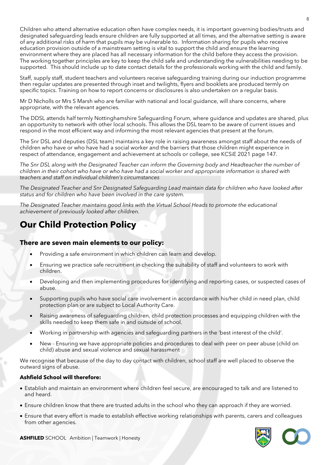Children who attend alternative education often have complex needs, it is important governing bodies/trusts and designated safeguarding leads ensure children are fully supported at all times, and the alternative setting is aware of any additional risks of harm that pupils may be vulnerable to. Information sharing for pupils who receive education provision outside of a mainstream setting is vital to support the child and ensure the learning environment where they are placed has all necessary information for the child before they access the provision. The working together principles are key to keep the child safe and understanding the vulnerabilities needing to be supported. This should include up to date contact details for the professionals working with the child and family.

Staff, supply staff, student teachers and volunteers receive safeguarding training during our induction programme then regular updates are presented through inset and twilights, flyers and booklets are produced termly on specific topics. Training on how to report concerns or disclosures is also undertaken on a regular basis.

Mr D Nicholls or Mrs S Marsh who are familiar with national and local guidance, will share concerns, where appropriate, with the relevant agencies.

The DDSL attends half termly Nottinghamshire Safeguarding Forum, where guidance and updates are shared, plus an opportunity to network with other local schools. This allows the DSL team to be aware of current issues and respond in the most efficient way and informing the most relevant agencies that present at the forum.

The Snr DSL and deputies (DSL team) maintains a key role in raising awareness amongst staff about the needs of children who have or who have had a social worker and the barriers that those children might experience in respect of attendance, engagement and achievement at schools or college, see KCSiE 2021 page 147.

*The Snr DSL along with the Designated Teacher can inform the Governing body and Headteacher the number of children in their cohort who have or who have had a social worker and appropriate information is shared with teachers and staff on individual children's circumstances*

*The Designated Teacher and Snr Designated Safeguarding Lead maintain data for children who have looked after status and for children who have been involved in the care system.*

*The Designated Teacher maintains good links with the Virtual School Heads to promote the educational achievement of previously looked after children.*

# **Our Child Protection Policy**

#### **There are seven main elements to our policy:**

- Providing a safe environment in which children can learn and develop.
- Ensuring we practice safe recruitment in checking the suitability of staff and volunteers to work with children.
- Developing and then implementing procedures for identifying and reporting cases, or suspected cases of abuse.
- Supporting pupils who have social care involvement in accordance with his/her child in need plan, child protection plan or are subject to Local Authority Care.
- Raising awareness of safeguarding children, child protection processes and equipping children with the skills needed to keep them safe in and outside of school*.*
- Working in partnership with agencies and safeguarding partners in the 'best interest of the child'.
- New Ensuring we have appropriate policies and procedures to deal with peer on peer abuse (child on child) abuse and sexual violence and sexual harassment

We recognise that because of the day to day contact with children, school staff are well placed to observe the outward signs of abuse.

#### **Ashfield School will therefore:**

- Establish and maintain an environment where children feel secure, are encouraged to talk and are listened to and heard.
- Ensure children know that there are trusted adults in the school who they can approach if they are worried.
- Ensure that every effort is made to establish effective working relationships with parents, carers and colleagues from other agencies.

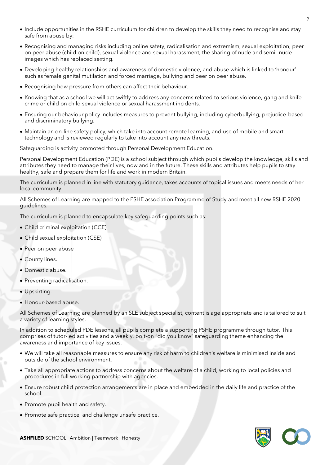- Include opportunities in the RSHE curriculum for children to develop the skills they need to recognise and stay safe from abuse by:
- Recognising and managing risks including online safety, radicalisation and extremism, sexual exploitation, peer on peer abuse (child on child), sexual violence and sexual harassment, the sharing of nude and semi -nude images which has replaced sexting.
- Developing healthy relationships and awareness of domestic violence, and abuse which is linked to 'honour' such as female genital mutilation and forced marriage, bullying and peer on peer abuse.
- Recognising how pressure from others can affect their behaviour.
- Knowing that as a school we will act swiftly to address any concerns related to serious violence, gang and knife crime or child on child sexual violence or sexual harassment incidents.
- Ensuring our behaviour policy includes measures to prevent bullying, including cyberbullying, prejudice-based and discriminatory bullying.
- Maintain an on-line safety policy, which take into account remote learning, and use of mobile and smart technology and is reviewed regularly to take into account any new threats*.*

Safeguarding is activity promoted through Personal Development Education.

Personal Development Education (PDE) is a school subject through which pupils develop the knowledge, skills and attributes they need to manage their lives, now and in the future. These skills and attributes help pupils to stay healthy, safe and prepare them for life and work in modern Britain.

The curriculum is planned in line with statutory guidance, takes accounts of topical issues and meets needs of her local community.

All Schemes of Learning are mapped to the PSHE association Programme of Study and meet all new RSHE 2020 guidelines.

The curriculum is planned to encapsulate key safeguarding points such as:

- Child criminal exploitation (CCE)
- Child sexual exploitation (CSE)
- Peer on peer abuse
- County lines.
- Domestic abuse.
- Preventing radicalisation.
- Upskirting.
- Honour-based abuse.

All Schemes of Learning are planned by an SLE subject specialist, content is age appropriate and is tailored to suit a variety of learning styles.

In addition to scheduled PDE lessons, all pupils complete a supporting PSHE programme through tutor. This comprises of tutor-led activities and a weekly, bolt-on "did you know" safeguarding theme enhancing the awareness and importance of key issues.

- We will take all reasonable measures to ensure any risk of harm to children's welfare is minimised inside and outside of the school environment.
- Take all appropriate actions to address concerns about the welfare of a child, working to local policies and procedures in full working partnership with agencies.
- Ensure robust child protection arrangements are in place and embedded in the daily life and practice of the school.
- Promote pupil health and safety.
- Promote safe practice, and challenge unsafe practice.

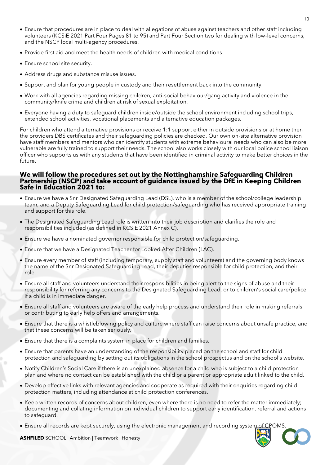- Ensure that procedures are in place to deal with allegations of abuse against teachers and other staff including volunteers (KCSiE 2021 Part Four Pages 81 to 95) and Part Four Section two for dealing with low-level concerns, and the NSCP local multi-agency procedures.
- Provide first aid and meet the health needs of children with medical conditions
- Ensure school site security.
- Address drugs and substance misuse issues.
- Support and plan for young people in custody and their resettlement back into the community.
- Work with all agencies regarding missing children, anti-social behaviour/gang activity and violence in the community/knife crime and children at risk of sexual exploitation.
- Everyone having a duty to safeguard children inside/outside the school environment including school trips, extended school activities, vocational placements and alternative education packages.

For children who attend alternative provisions or receive 1:1 support either in outside provisions or at home then the providers DBS certificates and their safeguarding policies are checked. Our own on-site alternative provision have staff members and mentors who can identify students with extreme behavioural needs who can also be more vulnerable are fully trained to support their needs. The school also works closely with our local police school liaison officer who supports us with any students that have been identified in criminal activity to make better choices in the future.

#### **We will follow the procedures set out by the Nottinghamshire Safeguarding Children Partnership (NSCP) and take account of guidance issued by the DfE in Keeping Children Safe in Education 2021 to:**

- Ensure we have a Snr Designated Safeguarding Lead (DSL), who is a member of the school/college leadership team, and a Deputy Safeguarding Lead for child protection/safeguarding who has received appropriate training and support for this role.
- The Designated Safeguarding Lead role is written into their job description and clarifies the role and responsibilities included (as defined in KCSiE 2021 Annex C).
- Ensure we have a nominated governor responsible for child protection/safeguarding.
- Ensure that we have a Designated Teacher for Looked After Children (LAC).
- Ensure every member of staff (including temporary, supply staff and volunteers) and the governing body knows the name of the Snr Designated Safeguarding Lead, their deputies responsible for child protection, and their role.
- Ensure all staff and volunteers understand their responsibilities in being alert to the signs of abuse and their responsibility for referring any concerns to the Designated Safeguarding Lead, or to children's social care/police if a child is in immediate danger.
- Ensure all staff and volunteers are aware of the early help process and understand their role in making referrals or contributing to early help offers and arrangements.
- Ensure that there is a whistleblowing policy and culture where staff can raise concerns about unsafe practice, and that these concerns will be taken seriously.
- Ensure that there is a complaints system in place for children and families.
- Ensure that parents have an understanding of the responsibility placed on the school and staff for child protection and safeguarding by setting out its obligations in the school prospectus and on the school's website.
- Notify Children's Social Care if there is an unexplained absence for a child who is subject to a child protection plan and where no contact can be established with the child or a parent or appropriate adult linked to the child.
- Develop effective links with relevant agencies and cooperate as required with their enquiries regarding child protection matters, including attendance at child protection conferences.
- Keep written records of concerns about children, even where there is no need to refer the matter immediately; documenting and collating information on individual children to support early identification, referral and actions to safeguard.
- Ensure all records are kept securely, using the electronic management and recording system

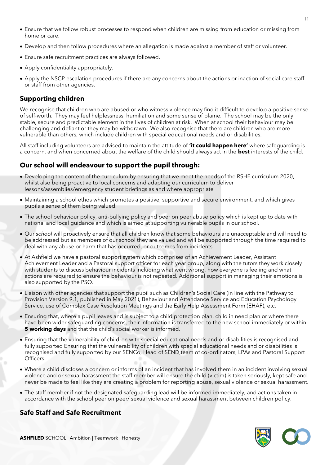- Ensure that we follow robust processes to respond when children are missing from education or missing from home or care.
- Develop and then follow procedures where an allegation is made against a member of staff or volunteer.
- Ensure safe recruitment practices are always followed.
- Apply confidentiality appropriately.
- Apply the NSCP escalation procedures if there are any concerns about the actions or inaction of social care staff or staff from other agencies.

#### **Supporting children**

We recognise that children who are abused or who witness violence may find it difficult to develop a positive sense of self-worth. They may feel helplessness, humiliation and some sense of blame. The school may be the only stable, secure and predictable element in the lives of children at risk. When at school their behaviour may be challenging and defiant or they may be withdrawn. We also recognise that there are children who are more vulnerable than others, which include children with special educational needs and or disabilities.

All staff including volunteers are advised to maintain the attitude of **'it could happen here'** where safeguarding is a concern, and when concerned about the welfare of the child should always act in the **best** interests of the child.

#### **Our school will endeavour to support the pupil through:**

- Developing the content of the curriculum by ensuring that we meet the needs of the RSHE curriculum 2020, whilst also being proactive to local concerns and adapting our curriculum to deliver lessons/assemblies/emergency student briefings as and where appropriate
- Maintaining a school ethos which promotes a positive, supportive and secure environment, and which gives pupils a sense of them being valued.
- The school behaviour policy, anti-bullying policy and peer on peer abuse policy which is kept up to date with national and local guidance and which is aimed at supporting vulnerable pupils in our school*.*
- Our *school* will proactively ensure that all children know that some behaviours are unacceptable and will need to be addressed but as members of our school they are valued and will be supported through the time required to deal with any abuse or harm that has occurred, or outcomes from incidents.
- At Ashfield we have a pastoral support system which comprises of an Achievement Leader, Assistant Achievement Leader and a Pastoral support officer for each year group, along with the tutors they work closely with students to discuss behaviour incidents including what went wrong, how everyone is feeling and what actions are required to ensure the behaviour is not repeated. Additional support in managing their emotions is also supported by the PSO.
- Liaison with other agencies that support the pupil such as Children's Social Care (in line with the Pathway to Provision Version 9.1, published in May 2021), Behaviour and Attendance Service and Education Psychology Service, use of Complex Case Resolution Meetings and the Early Help Assessment Form (EHAF), etc.
- Ensuring that, where a pupil leaves and is subject to a child protection plan, child in need plan or where there have been wider safeguarding concerns, their information is transferred to the new school immediately or within **5 working days** and that the child's social worker is informed.
- Ensuring that the vulnerability of children with special educational needs and or disabilities is recognised and fully supported Ensuring that the vulnerability of children with special educational needs and or disabilities is recognised and fully supported by our SENCo, Head of SEND,team of co-ordinators, LPAs and Pastoral Support Officers.
- Where a child discloses a concern or informs of an incident that has involved them in an incident involving sexual violence and or sexual harassment the staff member will ensure the child (victim) is taken seriously, kept safe and never be made to feel like they are creating a problem for reporting abuse, sexual violence or sexual harassment.
- The staff member if not the designated safeguarding lead will be informed immediately, and actions taken in accordance with the school peer on peer/ sexual violence and sexual harassment between children policy.

## **Safe Staff and Safe Recruitment**

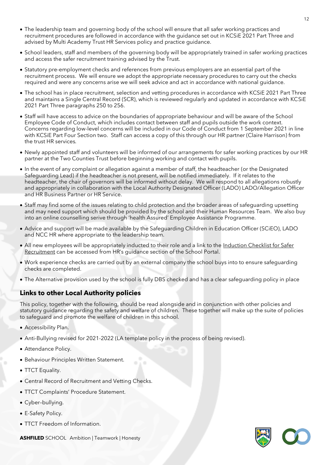- The leadership team and governing body of the school will ensure that all safer working practices and recruitment procedures are followed in accordance with the guidance set out in KCSiE 2021 Part Three and advised by Multi Academy Trust HR Services policy and practice guidance.
- School leaders, staff and members of the governing body will be appropriately trained in safer working practices and access the safer recruitment training advised by the Trust.
- Statutory pre-employment checks and references from previous employers are an essential part of the recruitment process. We will ensure we adopt the appropriate necessary procedures to carry out the checks required and were any concerns arise we will seek advice and act in accordance with national guidance.
- The school has in place recruitment, selection and vetting procedures in accordance with KCSiE 2021 Part Three and maintains a Single Central Record (SCR), which is reviewed regularly and updated in accordance with KCSiE 2021 Part Three paragraphs 250 to 256.
- Staff will have access to advice on the boundaries of appropriate behaviour and will be aware of the School Employee Code of Conduct, which includes contact between staff and pupils outside the work context. Concerns regarding low-level concerns will be included in our Code of Conduct from 1 September 2021 in line with KCSiE Part Four Section two. Staff can access a copy of this through our HR partner (Claire Harrison) from the trust HR services*.*
- Newly appointed staff and volunteers will be informed of our arrangements for safer working practices by our HR partner at the Two Counties Trust before beginning working and contact with pupils.
- In the event of any complaint or allegation against a member of staff, the headteacher (or the Designated Safeguarding Lead) if the headteacher is not present, will be notified immediately. If it relates to the headteacher, the chair of governors will be informed without delay. We will respond to all allegations robustly and appropriately in collaboration with the Local Authority Designated Officer (LADO) LADO/Allegation Officer and HR Business Partner or HR Service.
- Staff may find some of the issues relating to child protection and the broader areas of safeguarding upsetting and may need support which should be provided by the school and their Human Resources Team. We also buy into an online counselling serive through 'health Assured' Employee Assistance Programme.
- Advice and support will be made available by the Safeguarding Children in Education Officer (SCiEO), LADO and NCC HR where appropriate to the leadership team.
- All new employees will be appropriately inducted to their role and a link to the Induction Checklist for Safer Recruitment can be accessed from HR's guidance section of the School Portal.
- Work experience checks are carried out by an external company the school buys into to ensure safeguarding checks are completed.
- The Alternative provision used by the school is fully DBS checked and has a clear safeguarding policy in place

#### **Links to other Local Authority policies**

This policy, together with the following, should be read alongside and in conjunction with other policies and statutory guidance regarding the safety and welfare of children. These together will make up the suite of policies to safeguard and promote the welfare of children in this school*.*

- Accessibility Plan.
- Anti-Bullying revised for 2021-2022 (LA template policy in the process of being revised).
- Attendance Policy.
- Behaviour Principles Written Statement.
- TTCT Equality.
- Central Record of Recruitment and Vetting Checks.
- TTCT Complaints' Procedure Statement.
- Cyber–bullying.
- E-Safety Policy.
- TTCT Freedom of Information.

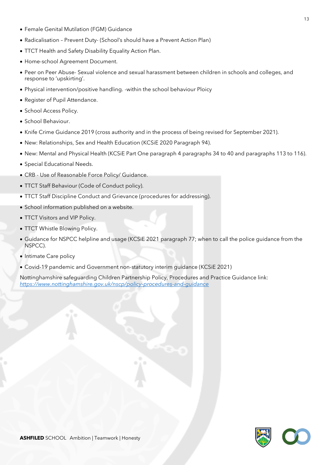- Female Genital Mutilation (FGM) Guidance
- Radicalisation Prevent Duty- (School's should have a Prevent Action Plan)
- TTCT Health and Safety Disability Equality Action Plan.
- Home-school Agreement Document.
- Peer on Peer Abuse- Sexual violence and sexual harassment between children in schools and colleges, and response to 'upskirting'.
- Physical intervention/positive handling. -within the school behaviour Ploicy
- Register of Pupil Attendance.
- School Access Policy.
- School Behaviour.
- Knife Crime Guidance 2019 (cross authority and in the process of being revised for September 2021).
- New: Relationships, Sex and Health Education (KCSiE 2020 Paragraph 94).
- New: Mental and Physical Health (KCSiE Part One paragraph 4 paragraphs 34 to 40 and paragraphs 113 to 116).
- Special Educational Needs.
- CRB Use of Reasonable Force Policy/ Guidance.
- TTCT Staff Behaviour (Code of Conduct policy).
- TTCT Staff Discipline Conduct and Grievance (procedures for addressing).
- School information published on a website.
- TTCT Visitors and VIP Policy.
- TTCT Whistle Blowing Policy.
- Guidance for NSPCC helpline and usage (KCSiE 2021 paragraph 77; when to call the police guidance from the NSPCC).
- Intimate Care policy
- Covid-19 pandemic and Government non-statutory interim guidance (KCSiE 2021)

Nottinghamshire safeguarding Children Partnership Policy, Procedures and Practice Guidance link: *<https://www.nottinghamshire.gov.uk/nscp/policy-procedures-and-guidance>*

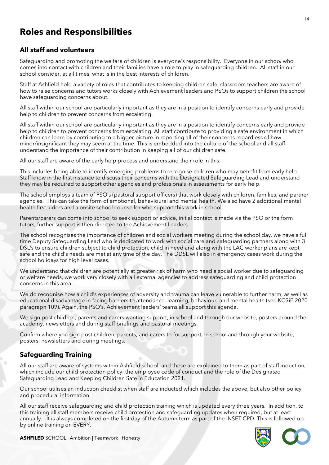# **Roles and Responsibilities**

## **All staff and volunteers**

Safeguarding and promoting the welfare of children is everyone's responsibility. Everyone in our schoo*l* who comes into contact with children and their families have a role to play in safeguarding children. All staff in our school consider, at all times, what is in the best interests of children.

Staff at Ashfield hold a variety of roles that contributes to keeping children safe, classroom teachers are aware of how to raise concerns and tutors works closely with Achievement leaders and PSOs to support children the school have safeguarding concerns about.

All staff within our school are particularly important as they are in a position to identify concerns early and provide help to children to prevent concerns from escalating.

All staff within our school are particularly important as they are in a position to identify concerns early and provide help to children to prevent concerns from escalating. All staff contribute to providing a safe environment in which children can learn by contributing to a bigger picture in reporting all of their concerns regardless of how minor/insignificant they may seem at the time. This is embedded into the culture of the school and all staff understand the importance of their contribution in keeping all of our children safe.

All our staff are aware of the early help process and understand their role in this.

This includes being able to identify emerging problems to recognise children who may benefit from early help. Staff know in the first instance to discuss their concerns with the Designated Safeguarding Lead and understand they may be required to support other agencies and professionals in assessments for early help.

The school employs a team of PSO's (pastoral support officers) that work closely with children, families, and partner agencies. This can take the form of emotional, behavioural and mental health. We also have 2 additional mental health first aiders and a onsite school counsellor who support this work in school.

Parents/carers can come into school to seek support or advice, initial contact is made via the PSO or the form tutors, further support is then directed to the Achievement Leaders.

The school recognises the importance of children and social workers meeting during the school day, we have a full time Deputy Safeguarding Lead who is dedicated to work with social care and safeguarding partners along with 3 DSL's to ensure children subject to child protection, child in need and along with the LAC worker plans are kept safe and the child's needs are met at any time of the day. The DDSL will also in emergency cases work during the school holidays for high level cases.

We understand that children are potentially at greater risk of harm who need a social worker due to safeguarding or welfare needs, we work very closely with all external agencies to address safeguarding and child protection concerns in this area.

We do recognise how a child's experiences of adversity and trauma can leave vulnerable to further harm, as well as educational disadvantage in facing barriers to attendance, learning, behaviour, and mental health (see KCSiE 2020 paragraph 109). Again, the PSO's, Achievement leaders' teams all support this agenda.

We sign post children, parents and carers wanting support, in school and through our website, posters around the academy, newsletters and during staff briefings and pastoral meetings.

Confirm where you sign post children, parents, and carers to for support, in school and through your website, posters, newsletters and during meetings*.*

# **Safeguarding Training**

All our staff are aware of systems within Ashfield school, and these are explained to them as part of staff induction, which include our child protection policy; the employee code of conduct and the role of the Designated Safeguarding Lead and Keeping Children Safe in Education 2021.

Our school utilises an induction checklist when staff are inducted which includes the above, but also other policy and procedural information.

All our staff receive safeguarding and child protection training which is updated every three years. In addition, to this training all staff members receive child protection and safeguarding updates when required, but at least annually. . It is always completed on the first day of the Autumn term as part of the INSET CPD. This is followed up by online training on EVERY.

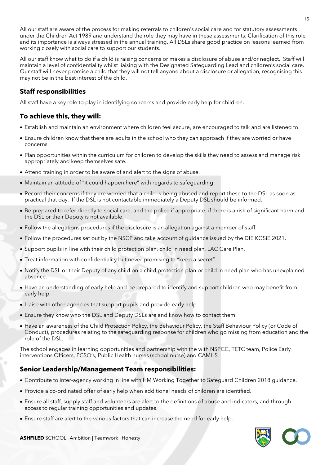All our staff are aware of the process for making referrals to children's social care and for statutory assessments under the Children Act 1989 and understand the role they may have in these assessments. Clarification of this role and its importance is always stressed in the annual training. All DSLs share good practice on lessons learned from working closely with social care to support our students.

All our staff know what to do if a child is raising concerns or makes a disclosure of abuse and/or neglect. Staff will maintain a level of confidentiality whilst liaising with the Designated Safeguarding Lead and children's social care. Our staff will never promise a child that they will not tell anyone about a disclosure or allegation, recognising this may not be in the best interest of the child.

# **Staff responsibilities**

All staff have a key role to play in identifying concerns and provide early help for children.

## **To achieve this, they will:**

- Establish and maintain an environment where children feel secure, are encouraged to talk and are listened to.
- Ensure children know that there are adults in the school who they can approach if they are worried or have concerns.
- Plan opportunities within the curriculum for children to develop the skills they need to assess and manage risk appropriately and keep themselves safe.
- Attend training in order to be aware of and alert to the signs of abuse.
- Maintain an attitude of "it could happen here" with regards to safeguarding.
- Record their concerns if they are worried that a child is being abused and report these to the DSL as soon as practical that day. If the DSL is not contactable immediately a Deputy DSL should be informed.
- Be prepared to refer directly to social care, and the police if appropriate, if there is a risk of significant harm and the DSL or their Deputy is not available.
- Follow the allegations procedures if the disclosure is an allegation against a member of staff.
- Follow the procedures set out by the NSCP and take account of guidance issued by the DfE KCSiE 2021.
- Support pupils in line with their child protection plan, child in need plan, LAC Care Plan.
- Treat information with confidentiality but never promising to "keep a secret".
- Notify the DSL or their Deputy of any child on a child protection plan or child in need plan who has unexplained absence.
- Have an understanding of early help and be prepared to identify and support children who may benefit from early help.
- Liaise with other agencies that support pupils and provide early help.
- Ensure they know who the DSL and Deputy DSLs are and know how to contact them.
- Have an awareness of the Child Protection Policy, the Behaviour Policy, the Staff Behaviour Policy (or Code of Conduct), procedures relating to the safeguarding response for children who go missing from education and the role of the DSL.

The school engages in learning opportunities and partnership with the with NSPCC, TETC team, Police Early interventions Officers, PCSO's, Public Health nurses (school nurse) and CAMHS

## **Senior Leadership/Management Team responsibilities:**

- Contribute to inter-agency working in line with HM Working Together to Safeguard Children 2018 guidance.
- Provide a co-ordinated offer of early help when additional needs of children are identified.
- Ensure all staff, supply staff and volunteers are alert to the definitions of abuse and indicators, and through access to regular training opportunities and updates.
- Ensure staff are alert to the various factors that can increase the need for early help.

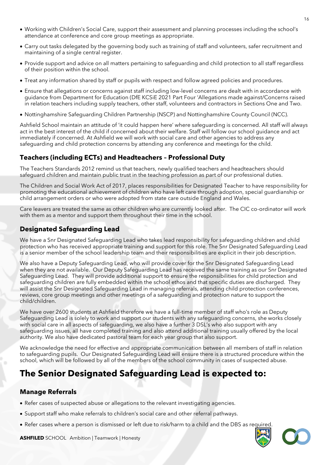- Working with Children's Social Care, support their assessment and planning processes including the school's attendance at conference and core group meetings as appropriate.
- Carry out tasks delegated by the governing body such as training of staff and volunteers, safer recruitment and maintaining of a single central register.
- Provide support and advice on all matters pertaining to safeguarding and child protection to all staff regardless of their position within the school.
- Treat any information shared by staff or pupils with respect and follow agreed policies and procedures.
- Ensure that allegations or concerns against staff including low-level concerns are dealt with in accordance with guidance from Department for Education (DfE KCSiE 2021 Part Four 'Allegations made against/Concerns raised in relation teachers including supply teachers, other staff, volunteers and contractors in Sections One and Two.
- Nottinghamshire Safeguarding Children Partnership (NSCP) and Nottinghamshire County Council (NCC).

Ashfield School maintain an attitude of 'it could happen here' where safeguarding is concerned. All staff will always act in the best interest of the child if concerned about their welfare. Staff will follow our school guidance and act immediately if concerned. At Ashfield we will work with social care and other agencies to address any safeguarding and child protection concerns by attending any conference and meetings for the child.

#### **Teachers (including ECTs) and Headteachers – Professional Duty**

The Teachers Standards 2012 remind us that teachers, newly qualified teachers and headteachers should safeguard children and maintain public trust in the teaching profession as part of our professional duties.

The Children and Social Work Act of 2017, places responsibilities for Designated Teacher to have responsibility for promoting the educational achievement of children who have left care through adoption, special guardianship or child arrangement orders or who were adopted from state care outside England and Wales.

Care leavers are treated the same as other children who are currently looked after. The CIC co-ordinator will work with them as a mentor and support them throughout their time in the school.

#### **Designated Safeguarding Lead**

We have a Snr Designated Safeguarding Lead who takes lead responsibility for safeguarding children and child protection who has received appropriate training and support for this role. The Snr Designated Safeguarding Lead is a senior member of the school leadership team and their responsibilities are explicit in their job description.

We also have a Deputy Safeguarding Lead, who will provide cover for the Snr Designated Safeguarding Lead when they are not available. Our Deputy Safeguarding Lead has received the same training as our Snr Designated Safeguarding Lead. They will provide additional support to ensure the responsibilities for child protection and safeguarding children are fully embedded within the school ethos and that specific duties are discharged. They will assist the Snr Designated Safeguarding Lead in managing referrals, attending child protection conferences, reviews, core group meetings and other meetings of a safeguarding and protection nature to support the child/children.

We have over 2600 students at Ashfield therefore we have a full-time member of staff who's role as Deputy Safeguarding Lead is solely to work and support our students with any safeguarding concerns, she works closely with social care in all aspects of safeguarding, we also have a further 3 DSL's who also support with any safeguarding issues, all have completed training and also attend additional training usually offered by the local authority. We also have dedicated pastoral team for each year group that also support.

We acknowledge the need for effective and appropriate communication between all members of staff in relation to safeguarding pupils. Our Designated Safeguarding Lead will ensure there is a structured procedure within the school, which will be followed by all of the members of the school community in cases of suspected abuse.

# **The Senior Designated Safeguarding Lead is expected to:**

#### **Manage Referrals**

- Refer cases of suspected abuse or allegations to the relevant investigating agencies.
- Support staff who make referrals to children's social care and other referral pathways.
- Refer cases where a person is dismissed or left due to risk/harm to a child and the DBS as required.



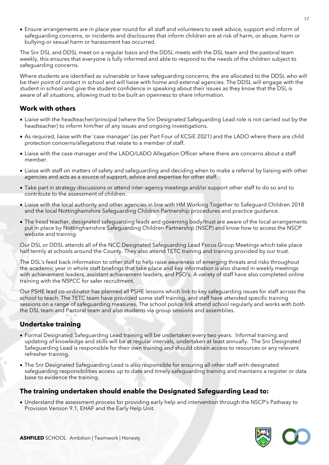• Ensure arrangements are in place year round for all staff and volunteers to seek advice, support and inform of safeguarding concerns, or incidents and disclosures that inform children are at risk of harm, or abuse, harm or bullying or sexual harm or harassment has occurred.

The Snr DSL and DDSL meet on a regular basis and the DDSL meets with the DSL team and the pastoral team weekly, this ensures that everyone is fully informed and able to respond to the needs of the children subject to safeguarding concerns.

Where students are identified as vulnerable or have safeguarding concerns, the are allocated to the DDSL who will be their point of contact in school and will liaise with home and external agencies. The DDSL will engage with the student in school and give the student confidence in speaking about their issues as they know that the DSL is aware of all situations, allowing trust to be built an openness to share information.

#### **Work with others**

- Liaise with the headteacher/principal (where the Snr Designated Safeguarding Lead role is not carried out by the headteacher) to inform him/her of any issues and ongoing investigations.
- As required, liaise with the 'case manager' (as per Part Four of KCSiE 2021) and the LADO where there are child protection concerns/allegations that relate to a member of staff.
- Liaise with the case manager and the LADO/LADO Allegation Officer where there are concerns about a staff member.
- Liaise with staff on matters of safety and safeguarding and deciding when to make a referral by liaising with other agencies and acts as a source of support, advice and expertise for other staff.
- Take part in strategy discussions or attend inter-agency meetings and/or support other staff to do so and to contribute to the assessment of children.
- Liaise with the local authority and other agencies in line with HM Working Together to Safeguard Children 2018 and the local Nottinghamshire Safeguarding Children Partnership procedures and practice guidance.
- The head teacher, designated safeguarding leads and governing body/trust are aware of the local arrangements put in place by Nottinghamshire Safeguarding Children Partnership (NSCP) and know how to access the NSCP website and training

Our DSL or DDSL attends all of the NCC Designated Safeguarding Lead Focus Group Meetings which take place half termly at schools around the County. They also attend TETC training and training provided by our trust.

The DSL's feed back information to other staff to help raise awareness of emerging threats and risks throughout the academic year in whole staff briefings that take place and key information is also shared in weekly meetings with achievement leaders, assistant achievement leaders, and PSO's. A variety of staff have also completed online training with the NSPCC for safer recruitment.

Our PSHE lead co-ordinator has planned all PSHE lessons which link to key safeguarding issues for staff across the school to teach. The TETC team have provided some staff training, and staff have attended specific training sessions on a range of safeguarding measures. The school police link attend school regularly and works with both the DSL team and Pastoral team and also students via group sessions and assemblies.

## **Undertake training**

- Formal Designated Safeguarding Lead training will be undertaken every two years. Informal training and updating of knowledge and skills will be at regular intervals, undertaken at least annually. The Snr Designated Safeguarding Lead is responsible for their own training and should obtain access to resources or any relevant refresher training.
- The Snr Designated Safeguarding Lead is also responsible for ensuring all other staff with designated safeguarding responsibilities access up to date and timely safeguarding training and maintains a register or data base to evidence the training.

## **The training undertaken should enable the Designated Safeguarding Lead to:**

• Understand the assessment process for providing early help and intervention through the NSCP's Pathway to Provision Version 9.1, EHAF and the Early Help Unit.

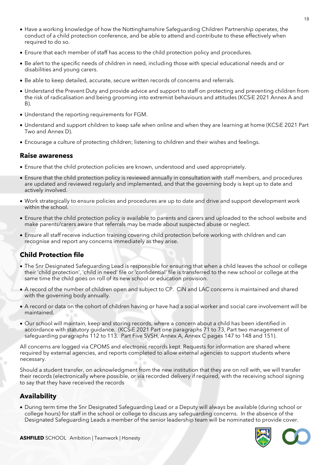- Have a working knowledge of how the Nottinghamshire Safeguarding Children Partnership operates, the conduct of a child protection conference, and be able to attend and contribute to these effectively when required to do so.
- Ensure that each member of staff has access to the child protection policy and procedures.
- Be alert to the specific needs of children in need, including those with special educational needs and or disabilities and young carers.
- Be able to keep detailed, accurate, secure written records of concerns and referrals.
- Understand the Prevent Duty and provide advice and support to staff on protecting and preventing children from the risk of radicalisation and being grooming into extremist behaviours and attitudes (KCSiE 2021 Annex A and B).
- Understand the reporting requirements for FGM.
- Understand and support children to keep safe when online and when they are learning at home (KCSiE 2021 Part Two and Annex D).
- Encourage a culture of protecting children; listening to children and their wishes and feelings.

#### **Raise awareness**

- Ensure that the child protection policies are known, understood and used appropriately.
- Ensure that the child protection policy is reviewed annually in consultation with staff members, and procedures are updated and reviewed regularly and implemented, and that the governing body is kept up to date and actively involved.
- Work strategically to ensure policies and procedures are up to date and drive and support development work within the school.
- Ensure that the child protection policy is available to parents and carers and uploaded to the school website and make parents/carers aware that referrals may be made about suspected abuse or neglect.
- Ensure all staff receive induction training covering child protection before working with children and can recognise and report any concerns immediately as they arise.

# **Child Protection file**

- The Snr Designated Safeguarding Lead is responsible for ensuring that when a child leaves the school or college their 'child protection', 'child in need' file or 'confidential' file is transferred to the new school or college at the same time the child goes on roll of its new school or education provision.
- A record of the number of children open and subject to CP. CiN and LAC concerns is maintained and shared with the governing body annually.
- A record or data on the cohort of children having or have had a social worker and social care involvement will be maintained.
- Our school will maintain, keep and storing records, where a concern about a child has been identified in accordance with statutory guidance. (KCSiE 2021 Part one paragraphs 71 to 73, Part two management of safeguarding paragraphs 112 to 113. Part Five SVSH, Annex A, Annex C pages 147 to 148 and 151).

All concerns are logged via CPOMS and electronic records kept. Requests for information are shared where required by external agencies, and reports completed to allow external agencies to support students where necessary.

Should a student transfer, on acknowledgment from the new institution that they are on roll with, we will transfer their records (electronically where possible, or via recorded delivery if required, with the receiving school signing to say that they have received the records

# **Availability**

• During term time the Snr Designated Safeguarding Lead or a Deputy will always be available (during school or college hours) for staff in the school or college to discuss any safeguarding concerns. In the absence of the Designated Safeguarding Leads a member of the senior leadership team will be nominated to provide cover.

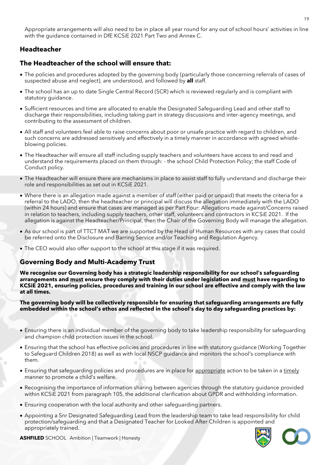Appropriate arrangements will also need to be in place all year round for any out of school hours' activities in line with the guidance contained in DfE KCSiE 2021 Part Two and Annex C.

## **Headteacher**

#### **The Headteacher of the school will ensure that:**

- The policies and procedures adopted by the governing body (particularly those concerning referrals of cases of suspected abuse and neglect), are understood, and followed by **all** staff.
- The school has an up to date Single Central Record (SCR) which is reviewed regularly and is compliant with statutory guidance.
- Sufficient resources and time are allocated to enable the Designated Safeguarding Lead and other staff to discharge their responsibilities, including taking part in strategy discussions and inter-agency meetings, and contributing to the assessment of children.
- All staff and volunteers feel able to raise concerns about poor or unsafe practice with regard to children, and such concerns are addressed sensitively and effectively in a timely manner in accordance with agreed whistleblowing policies.
- The Headteacher will ensure all staff including supply teachers and volunteers have access to and read and understand the requirements placed on them through: - the school Child Protection Policy; the staff Code of Conduct policy*.*
- The Headteacher will ensure there are mechanisms in place to assist staff to fully understand and discharge their role and responsibilities as set out in KCSiE 2021.
- Where there is an allegation made against a member of staff (either paid or unpaid) that meets the criteria for a referral to the LADO, then the headteacher or principal will discuss the allegation immediately with the LADO (within 24 hours) and ensure that cases are managed as per Part Four: Allegations made against/Concerns raised in relation to teachers, including supply teachers, other staff, volunteers and contractors in KCSiE 2021. If the allegation is against the Headteacher/Principal, then the Chair of the Governing Body will manage the allegation.
- As our school is part of TTCT MAT we are supported by the Head of Human Resources with any cases that could be referred onto the Disclosure and Barring Service and/or Teaching and Regulation Agency.
- The CEO would also offer support to the school at this stage if it was required.

#### **Governing Body and Multi-Academy Trust**

**We recognise our Governing body has a strategic leadership responsibility for our school's safeguarding arrangements and must ensure they comply with their duties under legislation and must have regarding to KCSiE 2021, ensuring policies, procedures and training in our school are effective and comply with the law at all times.**

**The governing body will be collectively responsible for ensuring that safeguarding arrangements are fully embedded within the school's ethos and reflected in the school's day to day safeguarding practices by:** 

- Ensuring there is an individual member of the governing body to take leadership responsibility for safeguarding and champion child protection issues in the school.
- Ensuring that the school has effective policies and procedures in line with statutory guidance (Working Together to Safeguard Children 2018) as well as with local NSCP guidance and monitors the school's compliance with them.
- Ensuring that safeguarding policies and procedures are in place for appropriate action to be taken in a timely manner to promote a child's welfare.
- Recognising the importance of information sharing between agencies through the statutory guidance provided within KCSiE 2021 from paragraph 105, the additional clarification about GPDR and withholding information.
- Ensuring cooperation with the local authority and other safeguarding partners.
- Appointing a Snr Designated Safeguarding Lead from the leadership team to take lead responsibility for child protection/safeguarding and that a Designated Teacher for Looked After Children is appointed and appropriately trained.

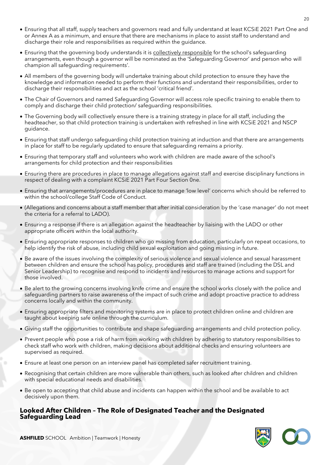- Ensuring that all staff, supply teachers and governors read and fully understand at least KCSiE 2021 Part One and or Annex A as a minimum, and ensure that there are mechanisms in place to assist staff to understand and discharge their role and responsibilities as required within the guidance.
- Ensuring that the governing body understands it is collectively responsible for the school's safeguarding arrangements, even though a governor will be nominated as the 'Safeguarding Governor' and person who will champion all safeguarding requirements'.
- All members of the governing body will undertake training about child protection to ensure they have the knowledge and information needed to perform their functions and understand their responsibilities, order to discharge their responsibilities and act as the school 'critical friend'.
- The Chair of Governors and named Safeguarding Governor will access role specific training to enable them to comply and discharge their child protection/ safeguarding responsibilities.
- The Governing body will collectively ensure there is a training strategy in place for all staff, including the headteacher, so that child protection training is undertaken with refreshed in line with KCSiE 2021 and NSCP guidance.
- Ensuring that staff undergo safeguarding child protection training at induction and that there are arrangements in place for staff to be regularly updated to ensure that safeguarding remains a priority.
- Ensuring that temporary staff and volunteers who work with children are made aware of the school's arrangements for child protection and their responsibilities
- Ensuring there are procedures in place to manage allegations against staff and exercise disciplinary functions in respect of dealing with a complaint KCSiE 2021 Part Four Section 0ne.
- Ensuring that arrangements/procedures are in place to manage 'low level' concerns which should be referred to within the school/college Staff Code of Conduct.
- (Allegations and concerns about a staff member that after initial consideration by the 'case manager' do not meet the criteria for a referral to LADO).
- Ensuring a response if there is an allegation against the headteacher by liaising with the LADO or other appropriate officers within the local authority.
- Ensuring appropriate responses to children who go missing from education, particularly on repeat occasions, to help identify the risk of abuse, including child sexual exploitation and going missing in future.
- Be aware of the issues involving the complexity of serious violence and sexual violence and sexual harassment between children and ensure the school has policy, procedures and staff are trained (including the DSL and Senior Leadership) to recognise and respond to incidents and resources to manage actions and support for those involved.
- Be alert to the growing concerns involving knife crime and ensure the school works closely with the police and safeguarding partners to raise awareness of the impact of such crime and adopt proactive practice to address concerns locally and within the community.
- Ensuring appropriate filters and monitoring systems are in place to protect children online and children are taught about keeping safe online through the curriculum.
- Giving staff the opportunities to contribute and shape safeguarding arrangements and child protection policy.
- Prevent people who pose a risk of harm from working with children by adhering to statutory responsibilities to check staff who work with children, making decisions about additional checks and ensuring volunteers are supervised as required.
- Ensure at least one person on an interview panel has completed safer recruitment training.
- Recognising that certain children are more vulnerable than others, such as looked after children and children with special educational needs and disabilities.
- Be open to accepting that child abuse and incidents can happen within the school and be available to act decisively upon them.

#### **Looked After Children – The Role of Designated Teacher and the Designated Safeguarding Lead**

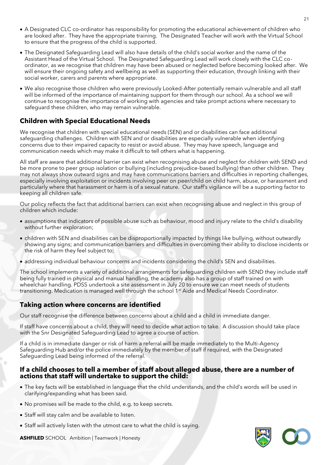- A Designated CLC co-ordinator has responsibility for promoting the educational achievement of children who are looked after. They have the appropriate training. The Designated Teacher will work with the Virtual School to ensure that the progress of the child is supported.
- The Designated Safeguarding Lead will also have details of the child's social worker and the name of the Assistant Head of the Virtual School. The Designated Safeguarding Lead will work closely with the CLC coordinator, as we recognise that children may have been abused or neglected before becoming looked after. We will ensure their ongoing safety and wellbeing as well as supporting their education, through linking with their social worker, carers and parents where appropriate.
- We also recognise those children who were previously Looked-After potentially remain vulnerable and all staff will be informed of the importance of maintaining support for them through our school. As a school we will continue to recognise the importance of working with agencies and take prompt actions where necessary to safeguard these children, who may remain vulnerable.

# **Children with Special Educational Needs**

We recognise that children with special educational needs (SEN) and or disabilities can face additional safeguarding challenges. Children with SEN and or disabilities are especially vulnerable when identifying concerns due to their impaired capacity to resist or avoid abuse. They may have speech, language and communication needs which may make it difficult to tell others what is happening.

All staff are aware that additional barrier can exist when recognising abuse and neglect for children with SEND and be more prone to peer group isolation or bullying (including prejudice-based bullying) than other children. They may not always show outward signs and may have communications barriers and difficulties in reporting challenges, especially involving exploitation or incidents involving peer on peer/child on child harm, abuse, or harassment and particularly where that harassment or harm is of a sexual nature. Our staff's vigilance will be a supporting factor to keeping all children safe.

Our policy reflects the fact that additional barriers can exist when recognising abuse and neglect in this group of children which include:

- assumptions that indicators of possible abuse such as behaviour, mood and injury relate to the child's disability without further exploration;
- children with SEN and disabilities can be disproportionally impacted by things like bullying, without outwardly showing any signs; and communication barriers and difficulties in overcoming their ability to disclose incidents or the risk of harm they feel subject to;
- addressing individual behaviour concerns and incidents considering the child's SEN and disabilities.

The school implements a variety of additional arrangements for safeguarding children with SEND they include staff being fully trained in physical and manual handling, the academy also has a group of staff trained on with wheelchair handling. PDSS undertook a site assessment in July 20 to ensure we can meet needs of students transitioning. Medication is managed well through the school 1<sup>st</sup> Aide and Medical Needs Coordinator.

#### **Taking action where concerns are identified**

Our staff recognise the difference between concerns about a child and a child in immediate danger.

If staff have concerns about a child, they will need to decide what action to take. A discussion should take place with the Snr Designated Safeguarding Lead to agree a course of action.

If a child is in immediate danger or risk of harm a referral will be made immediately to the Multi-Agency Safeguarding Hub and/or the police immediately by the member of staff if required, with the Designated Safeguarding Lead being informed of the referral.

#### **If a child chooses to tell a member of staff about alleged abuse, there are a number of actions that staff will undertake to support the child:**

- The key facts will be established in language that the child understands, and the child's words will be used in clarifying/expanding what has been said.
- No promises will be made to the child, e.g. to keep secrets.
- Staff will stay calm and be available to listen.
- Staff will actively listen with the utmost care to what the child is saying.

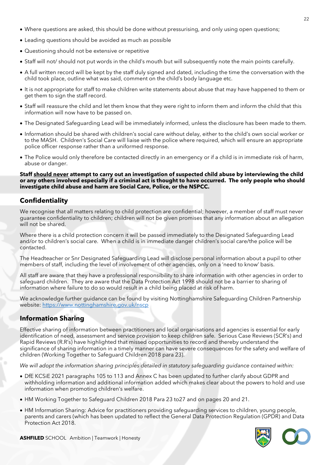- Where questions are asked, this should be done without pressurising, and only using open questions;
- Leading questions should be avoided as much as possible
- Questioning should not be extensive or repetitive
- Staff will not/ should not put words in the child's mouth but will subsequently note the main points carefully.
- A full written record will be kept by the staff duly signed and dated, including the time the conversation with the child took place, outline what was said, comment on the child's body language etc.
- It is not appropriate for staff to make children write statements about abuse that may have happened to them or get them to sign the staff record.
- Staff will reassure the child and let them know that they were right to inform them and inform the child that this information will now have to be passed on.
- The Designated Safeguarding Lead will be immediately informed, unless the disclosure has been made to them.
- Information should be shared with children's social care without delay, either to the child's own social worker or to the MASH. Children's Social Care will liaise with the police where required, which will ensure an appropriate police officer response rather than a uniformed response.
- The Police would only therefore be contacted directly in an emergency or if a child is in immediate risk of harm, abuse or danger.

#### **Staff should never attempt to carry out an investigation of suspected child abuse by interviewing the child or any others involved especially if a criminal act is thought to have occurred. The only people who should investigate child abuse and harm are Social Care, Police, or the NSPCC.**

## **Confidentiality**

We recognise that all matters relating to child protection are confidential; however, a member of staff must never guarantee confidentiality to children; children will not be given promises that any information about an allegation will not be shared.

Where there is a child protection concern it will be passed immediately to the Designated Safeguarding Lead and/or to children's social care. When a child is in immediate danger children's social care/the police will be contacted.

The Headteacher or Snr Designated Safeguarding Lead will disclose personal information about a pupil to other members of staff, including the level of involvement of other agencies, only on a 'need to know' basis.

All staff are aware that they have a professional responsibility to share information with other agencies in order to safeguard children. They are aware that the Data Protection Act 1998 should not be a barrier to sharing of information where failure to do so would result in a child being placed at risk of harm.

We acknowledge further guidance can be found by visiting Nottinghamshire Safeguarding Children Partnership website:<https://www.nottinghamshire.gov.uk/nscp>

## **Information Sharing**

Effective sharing of information between practitioners and local organisations and agencies is essential for early identification of need, assessment and service provision to keep children safe. Serious Case Reviews (SCR's) and Rapid Reviews (R.R's) have highlighted that missed opportunities to record and thereby understand the significance of sharing information in a timely manner can have severe consequences for the safety and welfare of children (Working Together to Safeguard Children 2018 para 23).

*We will adopt the information sharing principles detailed in statutory safeguarding guidance contained within:*

- DfE KCSiE 2021 paragraphs 105 to 113 and Annex C has been updated to further clarify about GDPR and withholding information and additional information added which makes clear about the powers to hold and use information when promoting children's welfare.
- HM Working Together to Safeguard Children 2018 Para 23 to27 and on pages 20 and 21.
- HM Information Sharing: Advice for practitioners providing safeguarding services to children, young people, parents and carers (which has been updated to reflect the General Data Protection Regulation (GPDR) and Data Protection Act 2018.

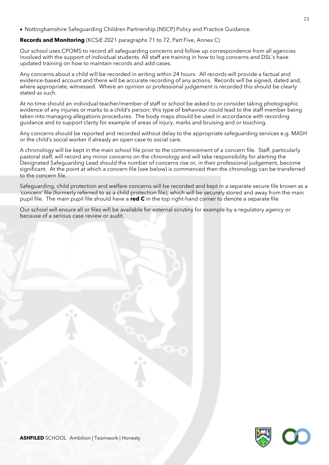• Nottinghamshire Safeguarding Children Partnership (NSCP) Policy and Practice Guidance.

**Records and Monitoring** (KCSiE 2021 paragraphs 71 to 72, Part Five, Annex C)

Our school uses CPOMS to record all safeguarding concerns and follow up correspondence from all agencies involved with the support of individual students. All staff are training in how to log concerns and DSL's have updated training on how to maintain records and add cases.

Any concerns about a child will be recorded in writing within 24 hours. All records will provide a factual and evidence-based account and there will be accurate recording of any actions. Records will be signed, dated and, where appropriate, witnessed. Where an opinion or professional judgement is recorded this should be clearly stated as such.

At no time should an individual teacher/member of staff or school be asked to or consider taking photographic evidence of any injuries or marks to a child's person; this type of behaviour could lead to the staff member being taken into managing allegations procedures. The body maps should be used in accordance with recording guidance and to support clarity for example of areas of injury, marks and bruising and or touching.

Any concerns should be reported and recorded without delay to the appropriate safeguarding services e.g. MASH or the child's social worker if already an open case to social care.

A chronology will be kept in the main school file prior to the commencement of a concern file. Staff, particularly pastoral staff, will record any minor concerns on the chronology and will take responsibility for alerting the Designated Safeguarding Lead should the number of concerns rise or, in their professional judgement, become significant. At the point at which a concern file (see below) is commenced then the chronology can be transferred to the concern file.

Safeguarding, child protection and welfare concerns will be recorded and kept in a separate secure file known as a 'concern' file (formerly referred to as a child protection file), which will be securely stored and away from the main pupil file. The main pupil file should have a **red C** in the top right-hand corner to denote a separate file

Our school will ensure all or files will be available for external scrutiny for example by a regulatory agency or because of a serious case review or audit.

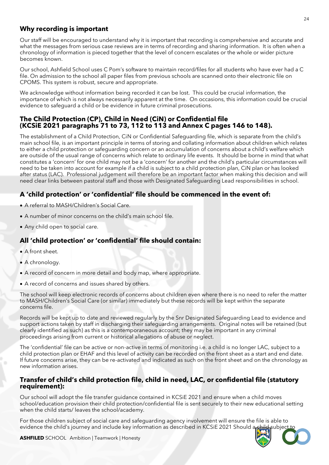## **Why recording is important**

Our staff will be encouraged to understand why it is important that recording is comprehensive and accurate and what the messages from serious case reviews are in terms of recording and sharing information. It is often when a chronology of information is pieced together that the level of concern escalates or the whole or wider picture becomes known.

Our school, Ashfield School uses C Pom's software to maintain record/files for all students who have ever had a C file. On admission to the school all paper files from previous schools are scanned onto their electronic file on CPOMS. This system is robust, secure and appropriate.

We acknowledge without information being recorded it can be lost. This could be crucial information, the importance of which is not always necessarily apparent at the time. On occasions, this information could be crucial evidence to safeguard a child or be evidence in future criminal prosecutions.

#### **The Child Protection (CP), Child in Need (CiN) or Confidential file (KCSiE 2021 paragraphs 71 to 73, 112 to 113 and Annex C pages 146 to 148).**

The establishment of a Child Protection, CiN or Confidential Safeguarding file, which is separate from the child's main school file, is an important principle in terms of storing and collating information about children which relates to either a child protection or safeguarding concern or an accumulation of concerns about a child's welfare which are outside of the usual range of concerns which relate to ordinary life events. It should be borne in mind that what constitutes a 'concern' for one child may not be a 'concern' for another and the child's particular circumstances will need to be taken into account for example if a child is subject to a child protection plan, CiN plan or has looked after status (LAC). Professional judgement will therefore be an important factor when making this decision and will need clear links between pastoral staff and those with Designated Safeguarding Lead responsibilities in school.

#### **A 'child protection' or 'confidential' file should be commenced in the event of:**

- A referral to MASH/Children's Social Care.
- A number of minor concerns on the child's main school file.
- Any child open to social care.

## **All 'child protection' or 'confidential' file should contain:**

- A front sheet.
- A chronology.
- A record of concern in more detail and body map, where appropriate.
- A record of concerns and issues shared by others.

The school will keep electronic records of concerns about children even where there is no need to refer the matter to MASH/Children's Social Care (or similar) immediately but these records will be kept within the separate concerns file.

Records will be kept up to date and reviewed regularly by the Snr Designated Safeguarding Lead to evidence and support actions taken by staff in discharging their safeguarding arrangements. Original notes will be retained (but clearly identified as such) as this is a contemporaneous account; they may be important in any criminal proceedings arising from current or historical allegations of abuse or neglect.

The 'confidential' file can be active or non-active in terms of monitoring i.e. a child is no longer LAC, subject to a child protection plan or EHAF and this level of activity can be recorded on the front sheet as a start and end date. If future concerns arise, they can be re-activated and indicated as such on the front sheet and on the chronology as new information arises.

#### **Transfer of child's child protection file, child in need, LAC, or confidential file (statutory requirement):**

Our school will adopt the file transfer guidance contained in KCSiE 2021 and ensure when a child moves school/education provision their child protection/confidential file is sent securely to their new educational setting when the child starts/ leaves the school/academy.

For those children subject of social care and safeguarding agency involvement will ensure the file is able to evidence the child's journey and include key information as described in KCSiE 2021 Should a child subject

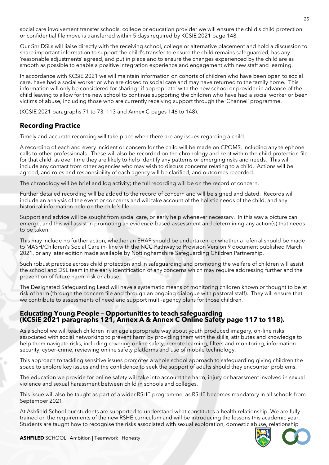As a school we will teach children in an age appropriate way about youth produced imagery, on-line risks

associated with social networking to prevent harm by providing them with the skills, attributes and knowledge to help them navigate risks, including covering online safety, remote learning, filters and monitoring, information security, cyber-crime, reviewing online safety platforms and use of mobile technology.

This approach to tackling sensitive issues promotes a whole school approach to safeguarding giving children the space to explore key issues and the confidence to seek the support of adults should they encounter problems.

The education we provide for online safety will take into account the harm, injury or harassment involved in sexual violence and sexual harassment between child in schools and colleges.

This issue will also be taught as part of a wider RSHE programme, as RSHE becomes mandatory in all schools from September 2021.

At Ashfield School our students are supported to understand what constitutes a health relationship. We are fully trained on the requirements of the new RSHE curriculum and will be introducing the lessons this academic year. Students are taught how to recognise the risks associated with sexual exploration, domestic abuse, relationship



#### social care involvement transfer schools, college or education provider we will ensure the child's child protection or confidential file move is transferred within 5 days required by KCSIE 2021 page 148.

Our Snr DSLs will liaise directly with the receiving school, college or alternative placement and hold a discussion to share important information to support the child's transfer to ensure the child remains safeguarded, has any 'reasonable adjustments' agreed, and put in place and to ensure the changes experienced by the child are as smooth as possible to enable a positive integration experience and engagement with new staff and learning.

In accordance with KCSiE 2021 we will maintain information on cohorts of children who have been open to social care, have had a social worker or who are closed to social care and may have returned to the family home. This information will only be considered for sharing ' if appropriate' with the new school or provider in advance of the child leaving to allow for the new school to continue supporting the children who have had a social worker or been victims of abuse, including those who are currently receiving support through the 'Channel' programme.

(KCSIE 2021 paragraphs 71 to 73, 113 and Annex C pages 146 to 148).

# **Recording Practice**

Timely and accurate recording will take place when there are any issues regarding a child.

A recording of each and every incident or concern for the child will be made on CPOMS, including any telephone calls to other professionals. These will also be recorded on the chronology and kept within the child protection file for that child, as over time they are likely to help identify any patterns or emerging risks and needs. This will include any contact from other agencies who may wish to discuss concerns relating to a child. Actions will be agreed, and roles and responsibility of each agency will be clarified, and outcomes recorded.

The chronology will be brief and log activity; the full recording will be on the record of concern.

Further detailed recording will be added to the record of concern and will be signed and dated. Records will include an analysis of the event or concerns and will take account of the holistic needs of the child, and any historical information held on the child's file.

Support and advice will be sought from social care, or early help whenever necessary. In this way a picture can emerge, and this will assist in promoting an evidence-based assessment and determining any action(s) that needs to be taken.

This may include no further action, whether an EHAF should be undertaken, or whether a referral should be made to MASH/Children's Social Care in- line with the NCC Pathway to Provision Version 9 document published March 2021, or any later edition made available by Nottinghamshire Safeguarding Children Partnership.

Such robust practice across child protection and in safeguarding and promoting the welfare of children will assist the school and DSL team in the early identification of any concerns which may require addressing further and the prevention of future harm, risk or abuse.

The Designated Safeguarding Lead will have a systematic means of monitoring children known or thought to be at risk of harm (through the concern file and through an ongoing dialogue with pastoral staff). They will ensure that we contribute to assessments of need and support multi-agency plans for those children.

## **Educating Young People – Opportunities to teach safeguarding (KCSiE 2021 paragraphs 121, Annex A & Annex C Online Safety page 117 to 118).**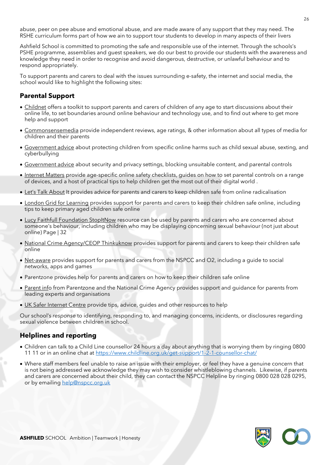abuse, peer on pee abuse and emotional abuse, and are made aware of any support that they may need. The RSHE curriculum forms part of how we ain to support tour students to develop in many aspects of their livers

Ashfield School is committed to promoting the safe and responsible use of the internet. Through the schools's PSHE programme, assemblies and guest speakers, we do our best to provide our students with the awareness and knowledge they need in order to recognise and avoid dangerous, destructive, or unlawful behaviour and to respond appropriately.

To support parents and carers to deal with the issues surrounding e-safety, the internet and social media, the school would like to highlight the following sites:

#### **Parental Support**

- Childnet offers a toolkit to support parents and carers of children of any age to start discussions about their online life, to set boundaries around online behaviour and technology use, and to find out where to get more help and support
- Commonsensemedia provide independent reviews, age ratings, & other information about all types of media for children and their parents
- Government advice about protecting children from specific online harms such as child sexual abuse, sexting, and cyberbullying
- Government advice about security and privacy settings, blocking unsuitable content, and parental controls
- Internet Matters provide age-specific online safety checklists, guides on how to set parental controls on a range of devices, and a host of practical tips to help children get the most out of their digital world .
- Let's Talk About It provides advice for parents and carers to keep children safe from online radicalisation
- London Grid for Learning provides support for parents and carers to keep their children safe online, including tips to keep primary aged children safe online
- Lucy Faithfull Foundation StopItNow resource can be used by parents and carers who are concerned about someone's behaviour, including children who may be displaying concerning sexual behaviour (not just about online) Page | 32
- National Crime Agency/CEOP Thinkuknow provides support for parents and carers to keep their children safe online
- Net-aware provides support for parents and carers from the NSPCC and O2, including a guide to social networks, apps and games
- Parentzone provides help for parents and carers on how to keep their children safe online
- Parent info from Parentzone and the National Crime Agency provides support and quidance for parents from leading experts and organisations
- UK Safer Internet Centre provide tips, advice, guides and other resources to help

Our school's *response* to identifying, responding to, and managing concerns, incidents, or disclosures regarding sexual violence between children in school.

#### **Helplines and reporting**

- Children can talk to a Child Line counsellor 24 hours a day about anything that is worrying them by ringing 0800 11 11 or in an online chat at<https://www.childline.org.uk/get-support/1-2-1-counsellor-chat/>
- Where staff members feel unable to raise an issue with their employer, or feel they have a genuine concern that is not being addressed we acknowledge they may wish to consider whistleblowing channels. Likewise, if parents and carers are concerned about their child, they can contact the NSPCC Helpline by ringing 0800 028 028 0295, or by emailing [help@nspcc.org.uk](mailto:help@nspcc.org.uk)

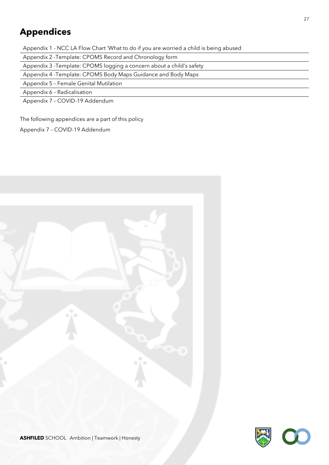# **Appendices**

Appendix 1 - NCC LA Flow Chart 'What to do if you are worried a child is being abused

Appendix 2 -Template: CPOMS Record and Chronology form

Appendix 3 -Template: CPOMS logging a concern about a child's safety

Appendix 4 -Template: CPOMS Body Maps Guidance and Body Maps

Appendix 5 – Female Genital Mutilation

Appendix 6 – Radicalisation

Appendix 7 – COVID-19 Addendum

The following appendices are a part of this policy

Appendix 7 – COVID-19 Addendum



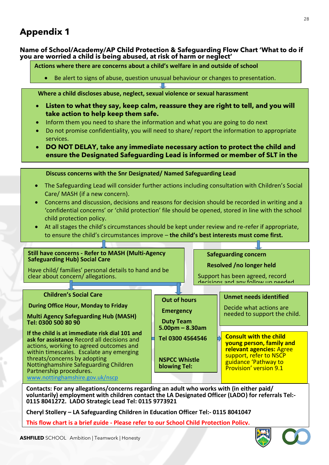**DSL's absence.** 

Care/ MASH (if a new concern).

child protection policy.

• Do not question further or inform the alleged abuser.

•

**Name of School/Academy/AP Child Protection & Safeguarding Flow Chart 'What to do if you are worried a child is being abused, at risk of harm or neglect'**

- **Actions where there are concerns about a child's welfare in and outside of school**
	- Be alert to signs of abuse, question unusual behaviour or changes to presentation.

 **Where a child discloses abuse, neglect, sexual violence or sexual harassment**

 **Discuss concerns with the Snr Designated/ Named Safeguarding Lead** 

- **Listen to what they say, keep calm, reassure they are right to tell, and you will take action to help keep them safe.**
- Inform them you need to share the information and what you are going to do next
- Do not promise confidentiality, you will need to share/ report the information to appropriate services.
- **DO NOT DELAY, take any immediate necessary action to protect the child and ensure the Designated Safeguarding Lead is informed or member of SLT in the**

• • Concerns and discussion, decisions and reasons for decision should be recorded in writing and a

'confidential concerns' or 'child protection' file should be opened, stored in line with the school

• At all stages the child's circumstances should be kept under review and re-refer if appropriate,

• The Safeguarding Lead will consider further actions including consultation with Children's Social

to ensure the child's circumstances improve – **the child's best interests must come first. Still have concerns - Refer to MASH (Multi-Agency Safeguarding Hub) Social Care** Have child/ families' personal details to hand and be clear about concern/ allegations.  **Safeguarding concern Resolved /no longer held** Support has been agreed, record decisions and any follow up needed.  **Children's Social Care During Office Hour, Monday to Friday Multi Agency Safeguarding Hub (MASH) Tel: 0300 500 80 90 If the child is at immediate risk dial 101 and ask for assistance** Record all decisions and actions, working to agreed outcomes and within timescales. Escalate any emerging threats/concerns by adopting Nottinghamshire Safeguarding Children Partnership procedures. amshire.gov.uk/nscp  **Out of hours Emergency Duty Team 5.00pm – 8.30am Tel 0300 4564546 NSPCC Whistle blowing Tel: Unmet needs identified**  Decide what actions are needed to support the child. **Consult with the child young person, family and relevant agencies:** Agree support, refer to NSCP guidance 'Pathway to Provision' version 9.1

**Contacts: For any allegations/concerns regarding an adult who works with (in either paid/ voluntarily) employment with children contact the LA Designated Officer (LADO) for referrals [Tel:-](tel:-) 0115 8041272. LADO Strategic Lead Tel: 0115 9773921**

**Cheryl Stollery – LA Safeguarding Children in Education Officer [Tel:-](tel:-) 0115 8041047**

**This flow chart is a brief guide - Please refer to our School Child Protection Policy.**

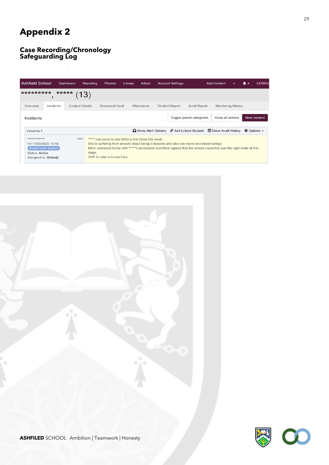#### **Case Recording/Chronology Safeguarding Log**

| <b>Ashfield School</b>                                                                                                |           | Dashboard | Reporting              | Planner                                                                         | Library | Admin              | <b>Account Settings</b> |                                                                                                                                                                                                             | Add Incident              |  | LOGOU                         |
|-----------------------------------------------------------------------------------------------------------------------|-----------|-----------|------------------------|---------------------------------------------------------------------------------|---------|--------------------|-------------------------|-------------------------------------------------------------------------------------------------------------------------------------------------------------------------------------------------------------|---------------------------|--|-------------------------------|
| *********                                                                                                             |           | *****     | 13)                    |                                                                                 |         |                    |                         |                                                                                                                                                                                                             |                           |  |                               |
| Overview                                                                                                              | Incidents |           | <b>Contact Details</b> | Document Vault                                                                  |         | Attendance         | <b>Student Report</b>   | <b>Audit Report</b>                                                                                                                                                                                         | <b>Monitoring History</b> |  |                               |
| Incidents                                                                                                             |           |           |                        |                                                                                 |         |                    |                         | Toggle parent categories                                                                                                                                                                                    | Show all actions          |  | New incident                  |
| Viewed by 1                                                                                                           |           |           |                        |                                                                                 |         | Show Alert Options |                         | $\mathcal S$ Add Linked Student $\Box$ Show Audit History                                                                                                                                                   |                           |  | $\bigcirc$ Options $\bigcirc$ |
| *************<br>Fri 11/09/2020 14:10<br><b>Mental Health Related</b><br><b>Status: Active</b><br>Assigned to: Nobody |           |           | 16554<br>stage,        | ***** has come to see MAG a few times this week.<br>CHP to refer to Linda Fern. |         |                    |                         | She is suffering from anxiety about being in lessons and also low mood and mood swings.<br>MAG contacted home with *****'s permission and Mum agreed that the school councillor was the right route at this |                           |  |                               |



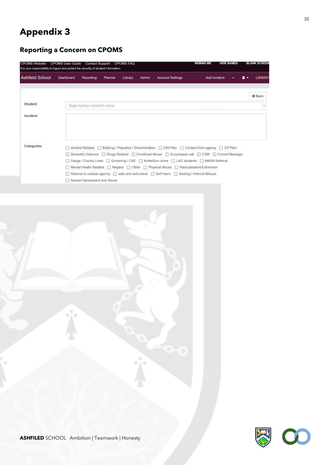# **Reporting a Concern on CPOMS**

| <b>CPOMS Website</b><br>It is your responsibility to logout and protect the security of student information. | <b>CPOMS User Guide</b> | <b>Contact Support</b>        |         | <b>CPOMS FAQ</b> |       |                                                                                                      | <b>REMIND ME</b> | <b>HIDE NAMES</b> | <b>BLANK SCREET</b> |
|--------------------------------------------------------------------------------------------------------------|-------------------------|-------------------------------|---------|------------------|-------|------------------------------------------------------------------------------------------------------|------------------|-------------------|---------------------|
| Ashfield School                                                                                              | Dashboard               | <b>Reporting</b>              | Planner | Library          | Admin | <b>Account Settings</b>                                                                              | Add Incident     |                   | LOGOU               |
|                                                                                                              |                         |                               |         |                  |       |                                                                                                      |                  |                   | $\leftarrow$ Back   |
| Student                                                                                                      |                         | Begin typing a student's name |         |                  |       |                                                                                                      |                  |                   | ٠                   |
| Incident                                                                                                     |                         |                               |         |                  |       |                                                                                                      |                  |                   |                     |
|                                                                                                              |                         |                               |         |                  |       |                                                                                                      |                  |                   |                     |
|                                                                                                              |                         |                               |         |                  |       |                                                                                                      |                  |                   |                     |
| Categories                                                                                                   |                         |                               |         |                  |       | □ Alcohol Related □ Bullying / Prejudice / Discrimination □ CIN Plan □ Contact from agency □ CP Plan |                  |                   |                     |
|                                                                                                              |                         |                               |         |                  |       | □ Domestic Violence □ Drugs Related □ Emotional Abuse □ Encompass call □ FGM □ Forced Marriage       |                  |                   |                     |
|                                                                                                              |                         |                               |         |                  |       | □ Gangs / County Lines □ Grooming / CSE □ Knife/Gun crime □ LAC students □ MASH Referral             |                  |                   |                     |
|                                                                                                              |                         |                               |         |                  |       | Mental Health Related   Neglect   Other   Physical Abuse   Radicalisation/Extremism                  |                  |                   |                     |
|                                                                                                              |                         |                               |         |                  |       | Referral to outside agency [3] safe and well check [3] Self Harm [3] Sexting / Internet Misuse       |                  |                   |                     |
|                                                                                                              |                         | Sexual Harassment and Abuse   |         |                  |       |                                                                                                      |                  |                   |                     |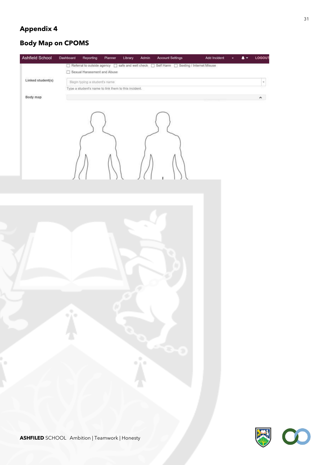# **Body Map on CPOMS**



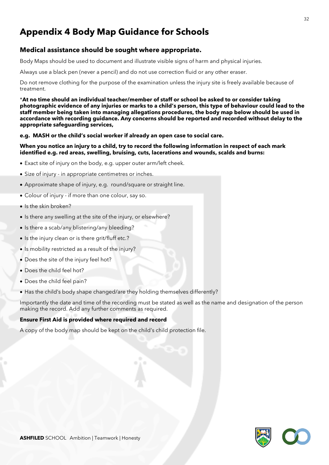# **Appendix 4 Body Map Guidance for Schools**

#### **Medical assistance should be sought where appropriate.**

Body Maps should be used to document and illustrate visible signs of harm and physical injuries.

Always use a black pen (never a pencil) and do not use correction fluid or any other eraser.

Do not remove clothing for the purpose of the examination unless the injury site is freely available because of treatment.

\***At no time should an individual teacher/member of staff or school be asked to or consider taking photographic evidence of any injuries or marks to a child's person, this type of behaviour could lead to the staff member being taken into managing allegations procedures, the body map below should be used in accordance with recording guidance. Any concerns should be reported and recorded without delay to the appropriate safeguarding services,** 

#### **e.g. MASH or the child's social worker if already an open case to social care.**

#### **When you notice an injury to a child, try to record the following information in respect of each mark identified e.g. red areas, swelling, bruising, cuts, lacerations and wounds, scalds and burns:**

- Exact site of injury on the body, e.g. upper outer arm/left cheek.
- Size of injury in appropriate centimetres or inches.
- Approximate shape of injury, e.g. round/square or straight line.
- Colour of injury if more than one colour, say so.
- Is the skin broken?
- Is there any swelling at the site of the injury, or elsewhere?
- Is there a scab/any blistering/any bleeding?
- Is the injury clean or is there grit/fluff etc.?
- Is mobility restricted as a result of the injury?
- Does the site of the injury feel hot?
- Does the child feel hot?
- Does the child feel pain?
- Has the child's body shape changed/are they holding themselves differently?

Importantly the date and time of the recording must be stated as well as the name and designation of the person making the record. Add any further comments as required.

#### **Ensure First Aid is provided where required and record**

A copy of the body map should be kept on the child's child protection file.

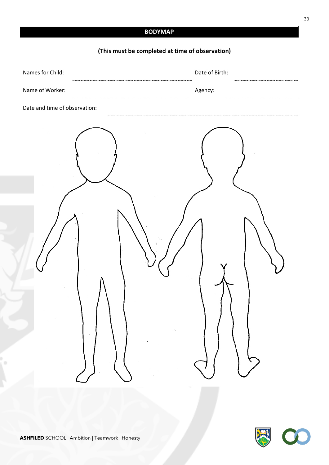#### **BODYMAP**

#### **(This must be completed at time of observation)**

| Names for Child:              | Date of Birth:                                                                                                                                  |
|-------------------------------|-------------------------------------------------------------------------------------------------------------------------------------------------|
| Name of Worker:               | Agency:                                                                                                                                         |
| Date and time of observation: |                                                                                                                                                 |
|                               | $\left(\left\{\begin{array}{c} \  \  \, \\ \  \  \, \\ \  \  \, \end{array}\right\}\right)$<br>$\left( \text{array}\right)$<br>$\zeta^{\ast}$ . |

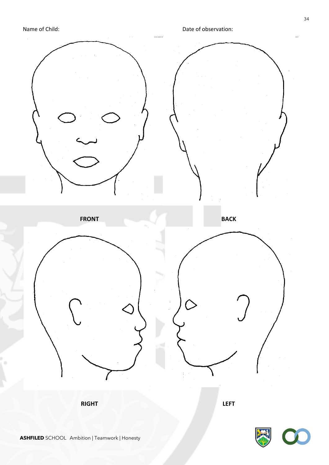

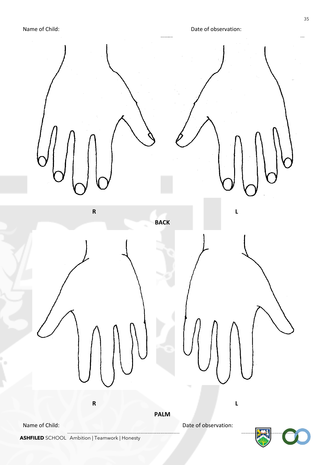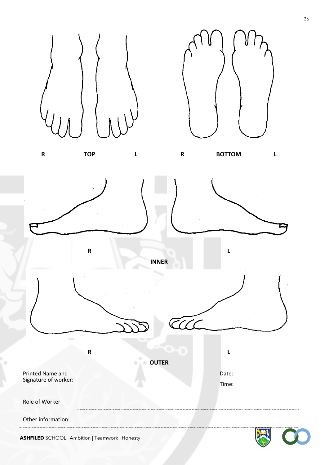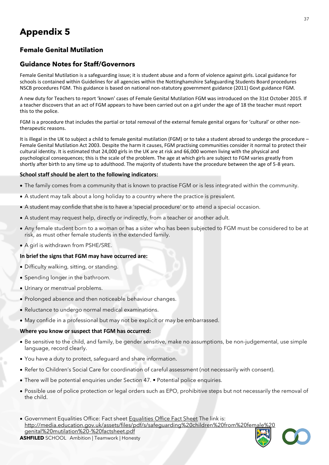# **Female Genital Mutilation**

# **Guidance Notes for Staff/Governors**

Female Genital Mutilation is a safeguarding issue; it is student abuse and a form of violence against girls. Local guidance for schools is contained within Guidelines for all agencies within the Nottinghamshire Safeguarding Students Board procedures NSCB procedures FGM. This guidance is based on national non-statutory government guidance (2011) Govt guidance FGM.

A new duty for Teachers to report 'known' cases of Female Genital Mutilation FGM was introduced on the 31st October 2015. If a teacher discovers that an act of FGM appears to have been carried out on a girl under the age of 18 the teacher must report this to the police.

FGM is a procedure that includes the partial or total removal of the external female genital organs for 'cultural' or other nontherapeutic reasons.

It is illegal in the UK to subject a child to female genital mutilation (FGM) or to take a student abroad to undergo the procedure – Female Genital Mutilation Act 2003. Despite the harm it causes, FGM practising communities consider it normal to protect their cultural identity. It is estimated that 24,000 girls in the UK are at risk and 66,000 women living with the physical and psychological consequences; this is the scale of the problem. The age at which girls are subject to FGM varies greatly from shortly after birth to any time up to adulthood. The majority of students have the procedure between the age of 5-8 years.

#### **School staff should be alert to the following indicators:**

- The family comes from a community that is known to practise FGM or is less integrated within the community.
- A student may talk about a long holiday to a country where the practice is prevalent.
- A student may confide that she is to have a 'special procedure' or to attend a special occasion.
- A student may request help, directly or indirectly, from a teacher or another adult.
- Any female student born to a woman or has a sister who has been subjected to FGM must be considered to be at risk, as must other female students in the extended family.
- A girl is withdrawn from PSHE/SRE.

#### **In brief the signs that FGM may have occurred are:**

- Difficulty walking, sitting, or standing.
- Spending longer in the bathroom.
- Urinary or menstrual problems.
- Prolonged absence and then noticeable behaviour changes.
- Reluctance to undergo normal medical examinations.
- May confide in a professional but may not be explicit or may be embarrassed.

#### **Where you know or suspect that FGM has occurred:**

- Be sensitive to the child, and family, be gender sensitive, make no assumptions, be non-judgemental, use simple language, record clearly.
- You have a duty to protect, safeguard and share information.
- Refer to Children's Social Care for coordination of careful assessment (not necessarily with consent).
- There will be potential enquiries under Section 47. Potential police enquiries.
- Possible use of police protection or legal orders such as EPO, prohibitive steps but not necessarily the removal of the child.

**ASHFILED** SCHOOL Ambition | Teamwork | Honesty • Government Equalities Office: Fact sheet Equalities Office Fact Sheet The link is: http://media.education.gov.uk/assets/files/pdf/s/safeguarding%20children%20from%20female%20 genital%20mutilation%20-%20factsheet.pdf

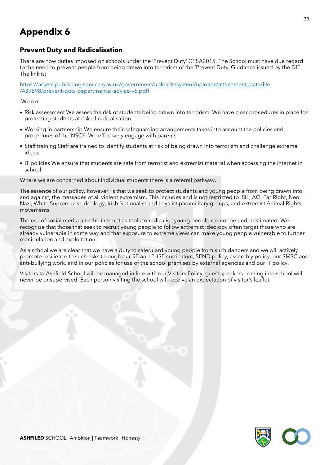## **Prevent Duty and Radicalisation**

There are now duties imposed on schools under the 'Prevent Duty' CTSA2015. The School must have due regard to the need to prevent people from being drawn into terrorism of the 'Prevent Duty' Guidance issued by the DfE. The link is:

[https://assets.publishing.service.gov.uk/government/uploads/system/uploads/attachment\\_data/file](https://assets.publishing.service.gov.uk/government/uploads/system/uploads/attachment_data/file%20/439598/prevent-duty-departmental-advice-v6.pdff) [/439598/prevent-duty-departmental-advice-v6.pdff](https://assets.publishing.service.gov.uk/government/uploads/system/uploads/attachment_data/file%20/439598/prevent-duty-departmental-advice-v6.pdff)

We do:

- Risk assessment We assess the risk of students being drawn into terrorism. We have clear procedures in place for protecting students at risk of radicalisation.
- Working in partnership We ensure their safeguarding arrangements takes into account the policies and procedures of the NSCP. We effectively engage with parents.
- Staff training Staff are trained to identify students at risk of being drawn into terrorism and challenge extreme ideas.
- IT policies We ensure that students are safe from terrorist and extremist material when accessing the internet in school.

Where we are concerned about individual students there is a referral pathway.

The essence of our policy, however, is that we seek to protect students and young people from being drawn into, and against, the messages of all violent extremism. This includes and is not restricted to ISIL, AQ, Far Right, Neo Nazi, White Supremacist ideology, Irish Nationalist and Loyalist paramilitary groups, and extremist Animal Rights movements.

The use of social media and the internet as tools to radicalise young people cannot be underestimated. We recognise that those that seek to recruit young people to follow extremist ideology often target those who are already vulnerable in some way and that exposure to extreme views can make young people vulnerable to further manipulation and exploitation.

As a school we are clear that we have a duty to safeguard young people from such dangers and we will actively promote resilience to such risks through our RE and PHSE curriculum, SEND policy, assembly policy, our SMSC and anti-bullying work, and in our policies for use of the school premises by external agencies and our IT policy.

Visitors to Ashfield School will be managed in line with our Visitors Policy, guest speakers coming into school will never be unsupervised. Each person visiting the school will receive an expectation of visitor's leaflet.